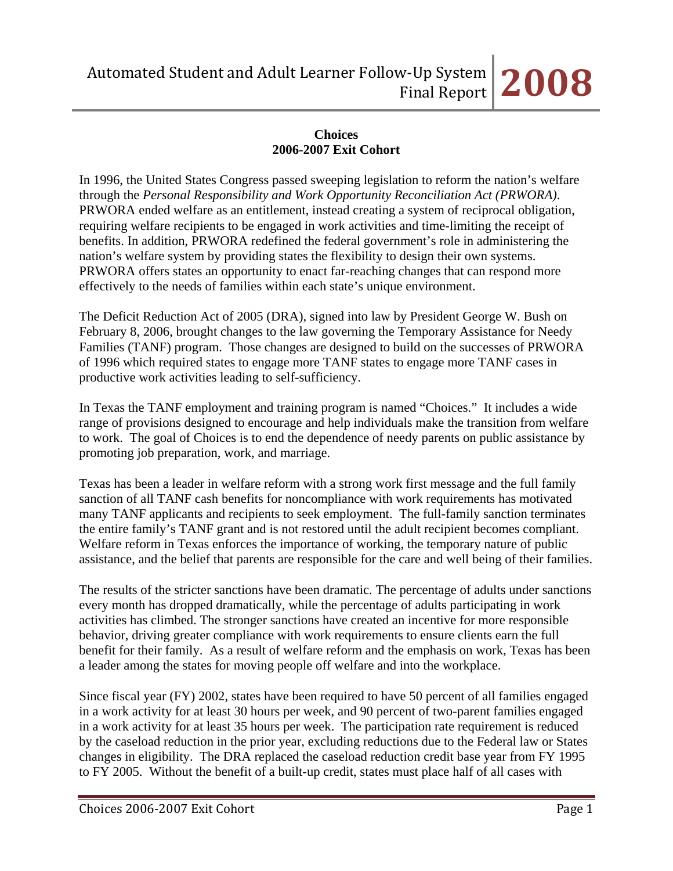# **Choices 2006-2007 Exit Cohort**

In 1996, the United States Congress passed sweeping legislation to reform the nation's welfare through the *Personal Responsibility and Work Opportunity Reconciliation Act (PRWORA)*. PRWORA ended welfare as an entitlement, instead creating a system of reciprocal obligation, requiring welfare recipients to be engaged in work activities and time-limiting the receipt of benefits. In addition, PRWORA redefined the federal government's role in administering the nation's welfare system by providing states the flexibility to design their own systems. PRWORA offers states an opportunity to enact far-reaching changes that can respond more effectively to the needs of families within each state's unique environment.

The Deficit Reduction Act of 2005 (DRA), signed into law by President George W. Bush on February 8, 2006, brought changes to the law governing the Temporary Assistance for Needy Families (TANF) program. Those changes are designed to build on the successes of PRWORA of 1996 which required states to engage more TANF states to engage more TANF cases in productive work activities leading to self-sufficiency.

In Texas the TANF employment and training program is named "Choices." It includes a wide range of provisions designed to encourage and help individuals make the transition from welfare to work. The goal of Choices is to end the dependence of needy parents on public assistance by promoting job preparation, work, and marriage.

Texas has been a leader in welfare reform with a strong work first message and the full family sanction of all TANF cash benefits for noncompliance with work requirements has motivated many TANF applicants and recipients to seek employment. The full-family sanction terminates the entire family's TANF grant and is not restored until the adult recipient becomes compliant. Welfare reform in Texas enforces the importance of working, the temporary nature of public assistance, and the belief that parents are responsible for the care and well being of their families.

The results of the stricter sanctions have been dramatic. The percentage of adults under sanctions every month has dropped dramatically, while the percentage of adults participating in work activities has climbed. The stronger sanctions have created an incentive for more responsible behavior, driving greater compliance with work requirements to ensure clients earn the full benefit for their family. As a result of welfare reform and the emphasis on work, Texas has been a leader among the states for moving people off welfare and into the workplace.

Since fiscal year (FY) 2002, states have been required to have 50 percent of all families engaged in a work activity for at least 30 hours per week, and 90 percent of two-parent families engaged in a work activity for at least 35 hours per week. The participation rate requirement is reduced by the caseload reduction in the prior year, excluding reductions due to the Federal law or States changes in eligibility. The DRA replaced the caseload reduction credit base year from FY 1995 to FY 2005. Without the benefit of a built-up credit, states must place half of all cases with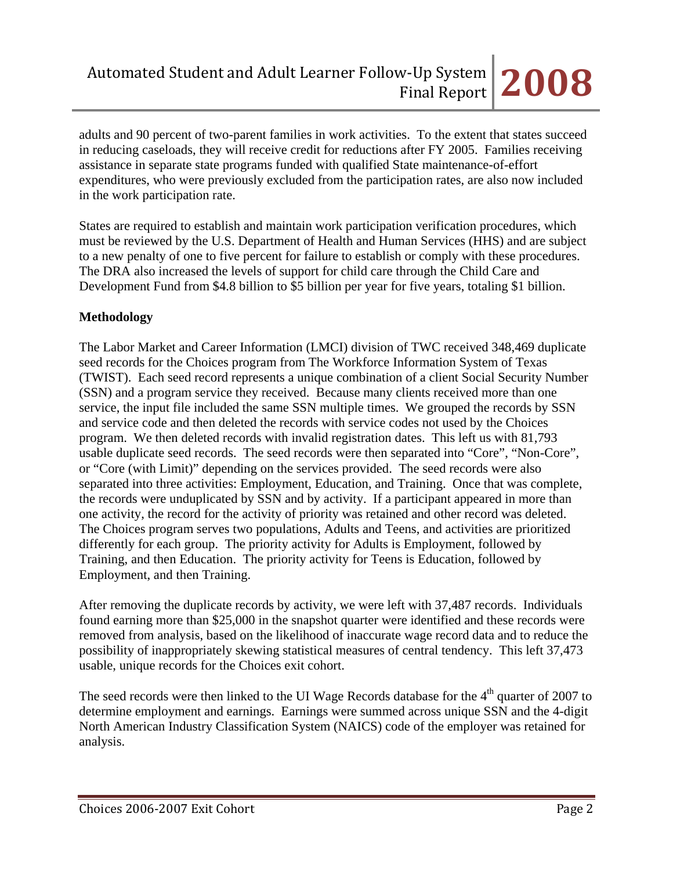adults and 90 percent of two-parent families in work activities. To the extent that states succeed in reducing caseloads, they will receive credit for reductions after FY 2005. Families receiving assistance in separate state programs funded with qualified State maintenance-of-effort expenditures, who were previously excluded from the participation rates, are also now included in the work participation rate.

States are required to establish and maintain work participation verification procedures, which must be reviewed by the U.S. Department of Health and Human Services (HHS) and are subject to a new penalty of one to five percent for failure to establish or comply with these procedures. The DRA also increased the levels of support for child care through the Child Care and Development Fund from \$4.8 billion to \$5 billion per year for five years, totaling \$1 billion.

# **Methodology**

The Labor Market and Career Information (LMCI) division of TWC received 348,469 duplicate seed records for the Choices program from The Workforce Information System of Texas (TWIST). Each seed record represents a unique combination of a client Social Security Number (SSN) and a program service they received. Because many clients received more than one service, the input file included the same SSN multiple times. We grouped the records by SSN and service code and then deleted the records with service codes not used by the Choices program. We then deleted records with invalid registration dates. This left us with 81,793 usable duplicate seed records. The seed records were then separated into "Core", "Non-Core", or "Core (with Limit)" depending on the services provided. The seed records were also separated into three activities: Employment, Education, and Training. Once that was complete, the records were unduplicated by SSN and by activity. If a participant appeared in more than one activity, the record for the activity of priority was retained and other record was deleted. The Choices program serves two populations, Adults and Teens, and activities are prioritized differently for each group. The priority activity for Adults is Employment, followed by Training, and then Education. The priority activity for Teens is Education, followed by Employment, and then Training.

After removing the duplicate records by activity, we were left with 37,487 records. Individuals found earning more than \$25,000 in the snapshot quarter were identified and these records were removed from analysis, based on the likelihood of inaccurate wage record data and to reduce the possibility of inappropriately skewing statistical measures of central tendency. This left 37,473 usable, unique records for the Choices exit cohort.

The seed records were then linked to the UI Wage Records database for the  $4<sup>th</sup>$  quarter of 2007 to determine employment and earnings. Earnings were summed across unique SSN and the 4-digit North American Industry Classification System (NAICS) code of the employer was retained for analysis.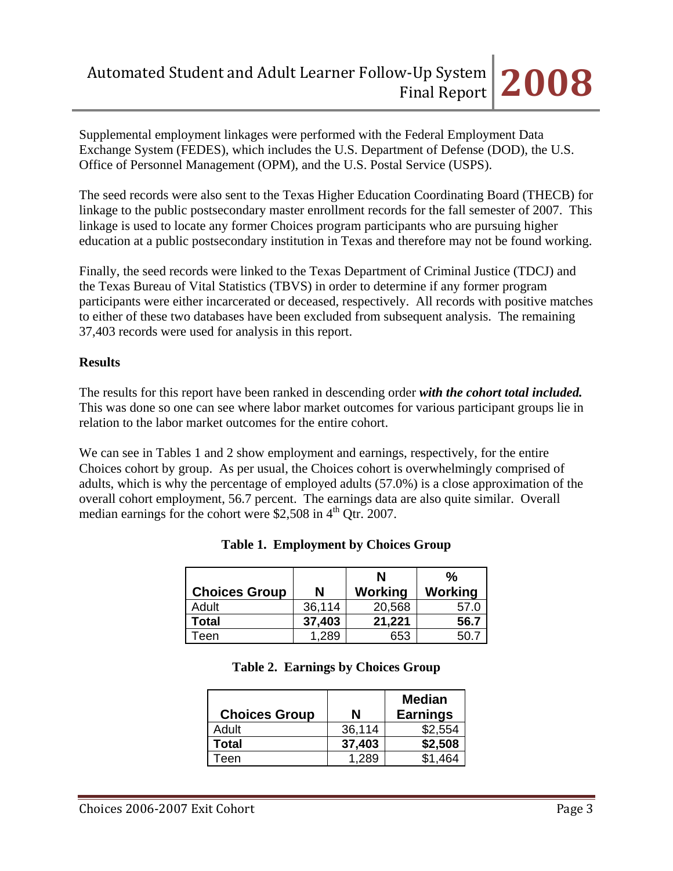Supplemental employment linkages were performed with the Federal Employment Data Exchange System (FEDES), which includes the U.S. Department of Defense (DOD), the U.S. Office of Personnel Management (OPM), and the U.S. Postal Service (USPS).

The seed records were also sent to the Texas Higher Education Coordinating Board (THECB) for linkage to the public postsecondary master enrollment records for the fall semester of 2007. This linkage is used to locate any former Choices program participants who are pursuing higher education at a public postsecondary institution in Texas and therefore may not be found working.

Finally, the seed records were linked to the Texas Department of Criminal Justice (TDCJ) and the Texas Bureau of Vital Statistics (TBVS) in order to determine if any former program participants were either incarcerated or deceased, respectively. All records with positive matches to either of these two databases have been excluded from subsequent analysis. The remaining 37,403 records were used for analysis in this report.

# **Results**

The results for this report have been ranked in descending order *with the cohort total included.* This was done so one can see where labor market outcomes for various participant groups lie in relation to the labor market outcomes for the entire cohort.

We can see in Tables 1 and 2 show employment and earnings, respectively, for the entire Choices cohort by group. As per usual, the Choices cohort is overwhelmingly comprised of adults, which is why the percentage of employed adults (57.0%) is a close approximation of the overall cohort employment, 56.7 percent. The earnings data are also quite similar. Overall median earnings for the cohort were  $$2,508$  in  $4<sup>th</sup>$  Qtr. 2007.

| <b>Choices Group</b> | N      | N<br>Working | %<br>Working |
|----------------------|--------|--------------|--------------|
| Adult                | 36,114 | 20,568       | 57.0         |
| <b>Total</b>         | 37,403 | 21,221       | 56.7         |
| Teen                 | 1,289  | 653          | 50.7         |

## **Table 1. Employment by Choices Group**

### **Table 2. Earnings by Choices Group**

| <b>Choices Group</b> | N      | <b>Median</b><br><b>Earnings</b> |
|----------------------|--------|----------------------------------|
| Adult                | 36,114 | \$2,554                          |
| Total                | 37,403 | \$2,508                          |
| Teen                 | 1 289  | \$1.464                          |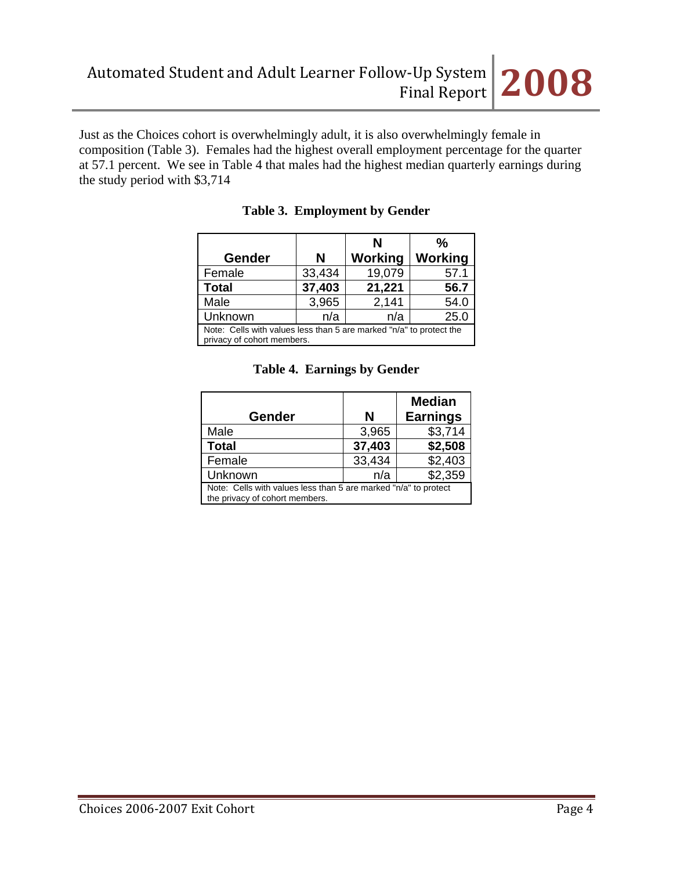Just as the Choices cohort is overwhelmingly adult, it is also overwhelmingly female in composition (Table 3). Females had the highest overall employment percentage for the quarter at 57.1 percent. We see in Table 4 that males had the highest median quarterly earnings during the study period with \$3,714

|                                                                                                   |        | N       | $\frac{0}{0}$ |
|---------------------------------------------------------------------------------------------------|--------|---------|---------------|
| <b>Gender</b>                                                                                     | N      | Working | Working       |
| Female                                                                                            | 33,434 | 19,079  | 57.1          |
| <b>Total</b>                                                                                      | 37,403 | 21,221  | 56.7          |
| Male                                                                                              | 3,965  | 2,141   | 54.0          |
| Unknown                                                                                           | n/a    | n/a     | 25.0          |
| Note: Cells with values less than 5 are marked "n/a" to protect the<br>privacy of cohort members. |        |         |               |

## **Table 3. Employment by Gender**

|                                                                                                   |        | <b>Median</b>   |  |
|---------------------------------------------------------------------------------------------------|--------|-----------------|--|
| <b>Gender</b>                                                                                     | N      | <b>Earnings</b> |  |
| Male                                                                                              | 3,965  | \$3,714         |  |
| <b>Total</b>                                                                                      | 37,403 | \$2,508         |  |
| Female                                                                                            | 33,434 | \$2,403         |  |
| Unknown                                                                                           | n/a    | \$2,359         |  |
| Note: Cells with values less than 5 are marked "n/a" to protect<br>the privacy of cohort members. |        |                 |  |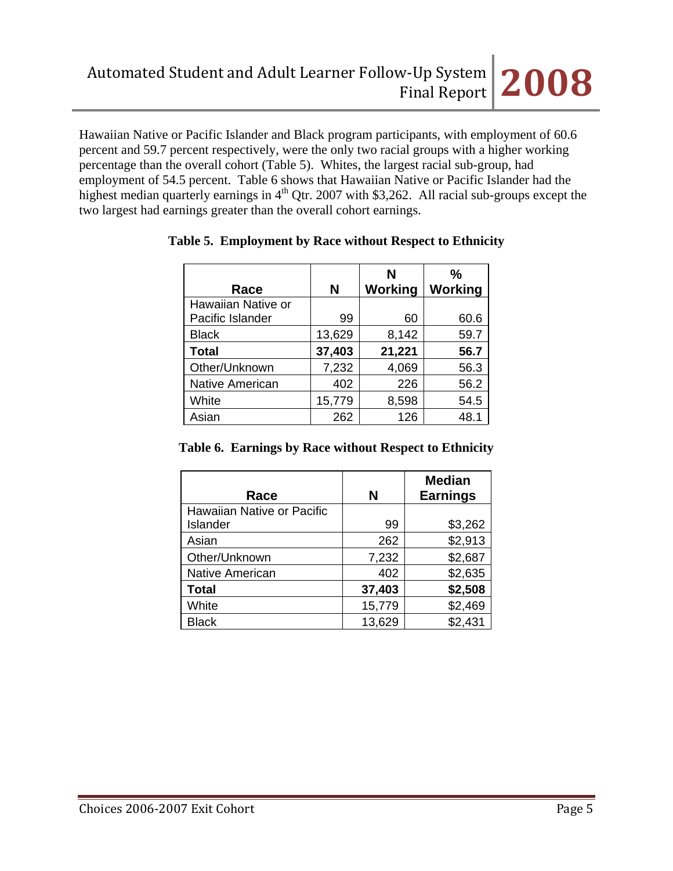Hawaiian Native or Pacific Islander and Black program participants, with employment of 60.6 percent and 59.7 percent respectively, were the only two racial groups with a higher working percentage than the overall cohort (Table 5). Whites, the largest racial sub-group, had employment of 54.5 percent. Table 6 shows that Hawaiian Native or Pacific Islander had the highest median quarterly earnings in  $4<sup>th</sup>$  Qtr. 2007 with \$3,262. All racial sub-groups except the two largest had earnings greater than the overall cohort earnings.

|                        |        | N       | %              |
|------------------------|--------|---------|----------------|
| Race                   | N      | Working | <b>Working</b> |
| Hawaiian Native or     |        |         |                |
| Pacific Islander       | 99     | 60      | 60.6           |
| <b>Black</b>           | 13,629 | 8,142   | 59.7           |
| <b>Total</b>           | 37,403 | 21,221  | 56.7           |
| Other/Unknown          | 7,232  | 4,069   | 56.3           |
| <b>Native American</b> | 402    | 226     | 56.2           |
| White                  | 15,779 | 8,598   | 54.5           |
| Asian                  | 262    | 126     | 48.1           |

### **Table 5. Employment by Race without Respect to Ethnicity**

|  |  | Table 6. Earnings by Race without Respect to Ethnicity |  |
|--|--|--------------------------------------------------------|--|
|  |  |                                                        |  |

| Race                       | N      | <b>Median</b><br><b>Earnings</b> |
|----------------------------|--------|----------------------------------|
| Hawaiian Native or Pacific |        |                                  |
| Islander                   | 99     | \$3,262                          |
| Asian                      | 262    | \$2,913                          |
| Other/Unknown              | 7,232  | \$2,687                          |
| Native American            | 402    | \$2,635                          |
| <b>Total</b>               | 37,403 | \$2,508                          |
| White                      | 15,779 | \$2,469                          |
| <b>Black</b>               | 13,629 | \$2,431                          |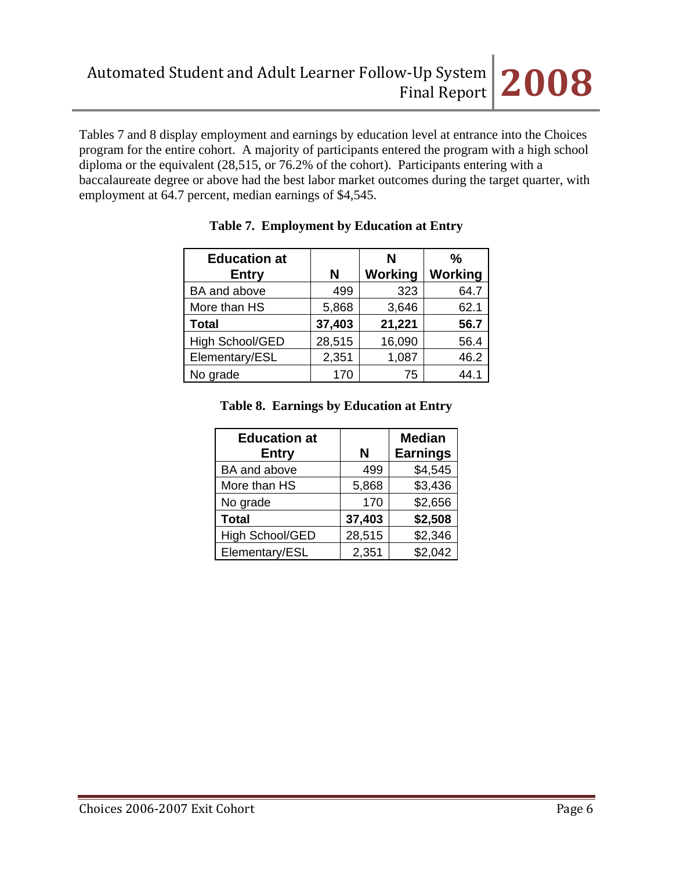Tables 7 and 8 display employment and earnings by education level at entrance into the Choices program for the entire cohort. A majority of participants entered the program with a high school diploma or the equivalent (28,515, or 76.2% of the cohort). Participants entering with a baccalaureate degree or above had the best labor market outcomes during the target quarter, with employment at 64.7 percent, median earnings of \$4,545.

| <b>Education at</b> |        | N              | $\frac{0}{0}$  |
|---------------------|--------|----------------|----------------|
| <b>Entry</b>        | N      | <b>Working</b> | <b>Working</b> |
| BA and above        | 499    | 323            | 64.7           |
| More than HS        | 5,868  | 3,646          | 62.1           |
| <b>Total</b>        | 37,403 | 21,221         | 56.7           |
| High School/GED     | 28,515 | 16,090         | 56.4           |
| Elementary/ESL      | 2,351  | 1,087          | 46.2           |
| No grade            | 170    | 75             | 44.1           |

## **Table 7. Employment by Education at Entry**

# **Table 8. Earnings by Education at Entry**

| <b>Education at</b><br><b>Entry</b> | N      | <b>Median</b><br><b>Earnings</b> |
|-------------------------------------|--------|----------------------------------|
| BA and above                        | 499    | \$4,545                          |
| More than HS                        | 5,868  | \$3,436                          |
| No grade                            | 170    | \$2,656                          |
| <b>Total</b>                        | 37,403 | \$2,508                          |
| <b>High School/GED</b>              | 28,515 | \$2,346                          |
| Elementary/ESL                      | 2,351  | \$2,042                          |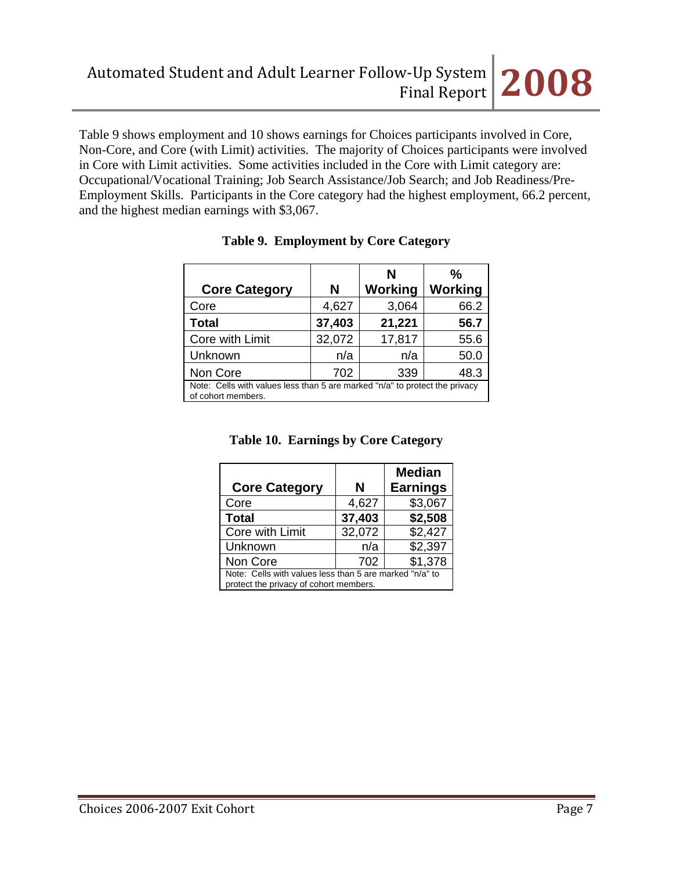

Table 9 shows employment and 10 shows earnings for Choices participants involved in Core, Non-Core, and Core (with Limit) activities. The majority of Choices participants were involved in Core with Limit activities. Some activities included in the Core with Limit category are: Occupational/Vocational Training; Job Search Assistance/Job Search; and Job Readiness/Pre-Employment Skills. Participants in the Core category had the highest employment, 66.2 percent, and the highest median earnings with \$3,067.

|                                                                                                   |        | N              | %       |
|---------------------------------------------------------------------------------------------------|--------|----------------|---------|
| <b>Core Category</b>                                                                              | N      | <b>Working</b> | Working |
| Core                                                                                              | 4,627  | 3,064          | 66.2    |
| Total                                                                                             | 37,403 | 21,221         | 56.7    |
| Core with Limit                                                                                   | 32,072 | 17,817         | 55.6    |
| Unknown                                                                                           | n/a    | n/a            | 50.0    |
| Non Core                                                                                          | 702    | 339            | 48.3    |
| Note: Cells with values less than 5 are marked "n/a" to protect the privacy<br>of cohort members. |        |                |         |

### **Table 9. Employment by Core Category**

## **Table 10. Earnings by Core Category**

| <b>Core Category</b>                                                                              | N      | <b>Median</b><br><b>Earnings</b> |  |  |
|---------------------------------------------------------------------------------------------------|--------|----------------------------------|--|--|
| Core                                                                                              | 4,627  | \$3,067                          |  |  |
| <b>Total</b>                                                                                      | 37,403 | \$2,508                          |  |  |
| Core with Limit                                                                                   | 32,072 | \$2,427                          |  |  |
| Unknown                                                                                           | n/a    | \$2,397                          |  |  |
| \$1,378<br>Non Core<br>702                                                                        |        |                                  |  |  |
| Note: Cells with values less than 5 are marked "n/a" to<br>protect the privacy of cohort members. |        |                                  |  |  |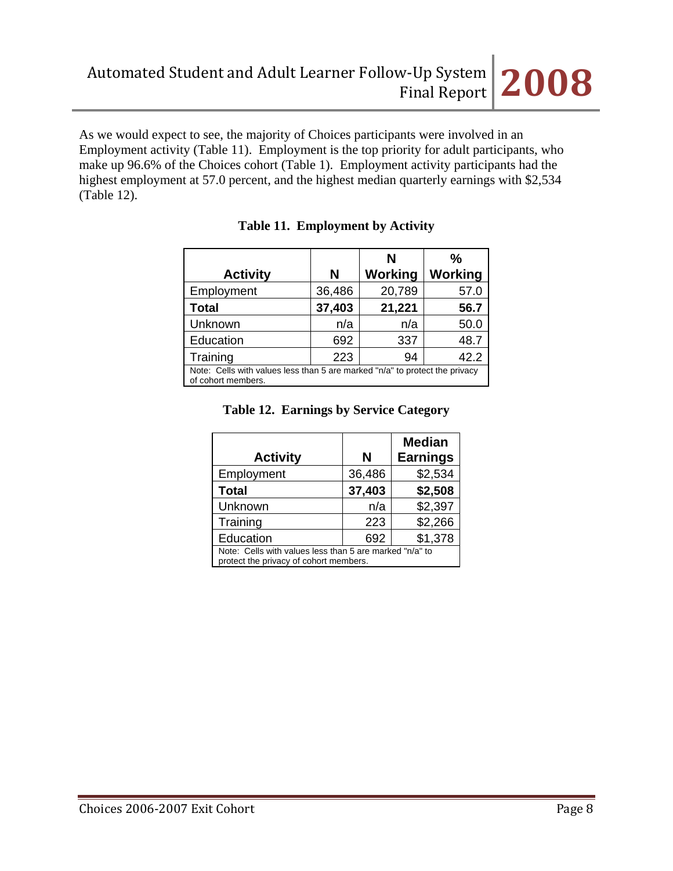As we would expect to see, the majority of Choices participants were involved in an Employment activity (Table 11). Employment is the top priority for adult participants, who make up 96.6% of the Choices cohort (Table 1). Employment activity participants had the highest employment at 57.0 percent, and the highest median quarterly earnings with \$2,534 (Table 12).

| <b>Activity</b>                                                                                   | N      | N<br><b>Working</b> | $\frac{0}{0}$<br>Working |  |
|---------------------------------------------------------------------------------------------------|--------|---------------------|--------------------------|--|
| Employment                                                                                        | 36,486 | 20,789              | 57.0                     |  |
| <b>Total</b>                                                                                      | 37,403 | 21,221              | 56.7                     |  |
| Unknown                                                                                           | n/a    | n/a                 | 50.0                     |  |
| Education                                                                                         | 692    | 337                 | 48.7                     |  |
| Training                                                                                          | 223    | 94                  | 42.2                     |  |
| Note: Cells with values less than 5 are marked "n/a" to protect the privacy<br>of cohort members. |        |                     |                          |  |

# **Table 11. Employment by Activity**

# **Table 12. Earnings by Service Category**

| <b>Activity</b>                                                                                   | N      | <b>Median</b><br><b>Earnings</b> |  |
|---------------------------------------------------------------------------------------------------|--------|----------------------------------|--|
| Employment                                                                                        | 36,486 | \$2,534                          |  |
| <b>Total</b>                                                                                      | 37,403 | \$2,508                          |  |
| Unknown                                                                                           | n/a    | \$2,397                          |  |
| Training                                                                                          | 223    | \$2,266                          |  |
| Education                                                                                         | 692    | \$1,378                          |  |
| Note: Cells with values less than 5 are marked "n/a" to<br>protect the privacy of cohort members. |        |                                  |  |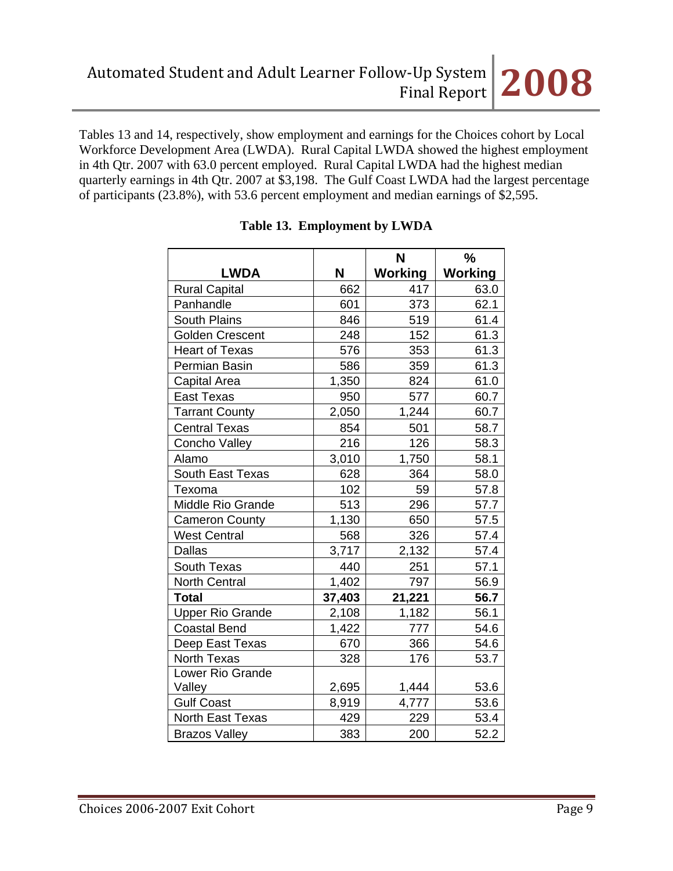Tables 13 and 14, respectively, show employment and earnings for the Choices cohort by Local Workforce Development Area (LWDA). Rural Capital LWDA showed the highest employment in 4th Qtr. 2007 with 63.0 percent employed. Rural Capital LWDA had the highest median quarterly earnings in 4th Qtr. 2007 at \$3,198. The Gulf Coast LWDA had the largest percentage of participants (23.8%), with 53.6 percent employment and median earnings of \$2,595.

|                         |        | N              | %              |
|-------------------------|--------|----------------|----------------|
| <b>LWDA</b>             | Ν      | <b>Working</b> | <b>Working</b> |
| <b>Rural Capital</b>    | 662    | 417            | 63.0           |
| Panhandle               | 601    | 373            | 62.1           |
| <b>South Plains</b>     | 846    | 519            | 61.4           |
| <b>Golden Crescent</b>  | 248    | 152            | 61.3           |
| <b>Heart of Texas</b>   | 576    | 353            | 61.3           |
| Permian Basin           | 586    | 359            | 61.3           |
| <b>Capital Area</b>     | 1,350  | 824            | 61.0           |
| <b>East Texas</b>       | 950    | 577            | 60.7           |
| <b>Tarrant County</b>   | 2,050  | 1,244          | 60.7           |
| <b>Central Texas</b>    | 854    | 501            | 58.7           |
| Concho Valley           | 216    | 126            | 58.3           |
| Alamo                   | 3,010  | 1,750          | 58.1           |
| <b>South East Texas</b> | 628    | 364            | 58.0           |
| Texoma                  | 102    | 59             | 57.8           |
| Middle Rio Grande       | 513    | 296            | 57.7           |
| <b>Cameron County</b>   | 1,130  | 650            | 57.5           |
| <b>West Central</b>     | 568    | 326            | 57.4           |
| <b>Dallas</b>           | 3,717  | 2,132          | 57.4           |
| South Texas             | 440    | 251            | 57.1           |
| North Central           | 1,402  | 797            | 56.9           |
| <b>Total</b>            | 37,403 | 21,221         | 56.7           |
| <b>Upper Rio Grande</b> | 2,108  | 1,182          | 56.1           |
| <b>Coastal Bend</b>     | 1,422  | 777            | 54.6           |
| Deep East Texas         | 670    | 366            | 54.6           |
| North Texas             | 328    | 176            | 53.7           |
| Lower Rio Grande        |        |                |                |
| Valley                  | 2,695  | 1,444          | 53.6           |
| <b>Gulf Coast</b>       | 8,919  | 4,777          | 53.6           |
| <b>North East Texas</b> | 429    | 229            | 53.4           |
| <b>Brazos Valley</b>    | 383    | 200            | 52.2           |

# **Table 13. Employment by LWDA**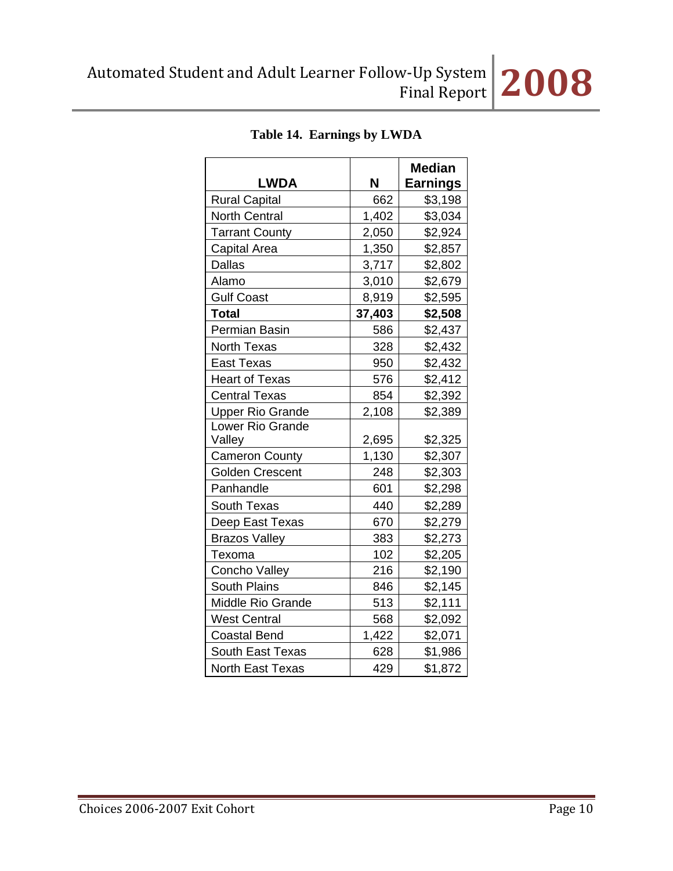|                          |        | <b>Median</b>   |
|--------------------------|--------|-----------------|
| <b>LWDA</b>              | N      | <b>Earnings</b> |
| <b>Rural Capital</b>     | 662    | \$3,198         |
| <b>North Central</b>     | 1,402  | \$3,034         |
| <b>Tarrant County</b>    | 2,050  | \$2,924         |
| Capital Area             | 1,350  | \$2,857         |
| Dallas                   | 3,717  | \$2,802         |
| Alamo                    | 3,010  | \$2,679         |
| <b>Gulf Coast</b>        | 8,919  | \$2,595         |
| <b>Total</b>             | 37,403 | \$2,508         |
| Permian Basin            | 586    | \$2,437         |
| <b>North Texas</b>       | 328    | \$2,432         |
| <b>East Texas</b>        | 950    | \$2,432         |
| <b>Heart of Texas</b>    | 576    | \$2,412         |
| <b>Central Texas</b>     | 854    | \$2,392         |
| <b>Upper Rio Grande</b>  | 2,108  | \$2,389         |
| Lower Rio Grande         |        |                 |
| Valley                   | 2,695  | \$2,325         |
| <b>Cameron County</b>    | 1,130  | \$2,307         |
| <b>Golden Crescent</b>   | 248    | \$2,303         |
| Panhandle                | 601    | \$2,298         |
| <b>South Texas</b>       | 440    | \$2,289         |
| Deep East Texas          | 670    | \$2,279         |
| <b>Brazos Valley</b>     | 383    | \$2,273         |
| Texoma                   | 102    | \$2,205         |
| Concho Valley            | 216    | \$2,190         |
| <b>South Plains</b>      | 846    | \$2,145         |
| <b>Middle Rio Grande</b> | 513    | \$2,111         |
| <b>West Central</b>      | 568    | \$2,092         |
| <b>Coastal Bend</b>      | 1,422  | \$2,071         |
| <b>South East Texas</b>  | 628    | \$1,986         |
| North East Texas         | 429    | \$1,872         |

# **Table 14. Earnings by LWDA**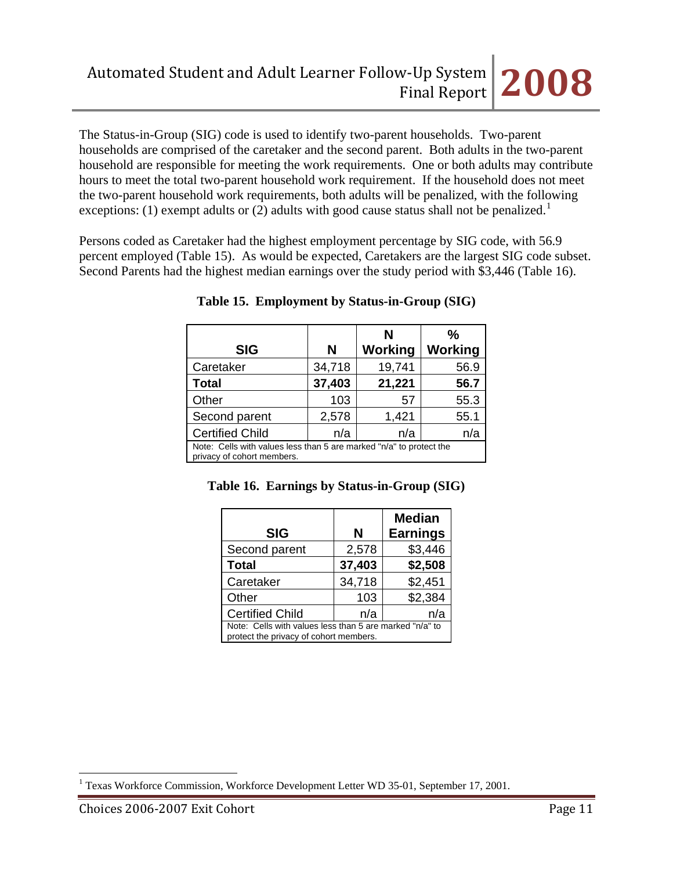The Status-in-Group (SIG) code is used to identify two-parent households. Two-parent households are comprised of the caretaker and the second parent. Both adults in the two-parent household are responsible for meeting the work requirements. One or both adults may contribute hours to meet the total two-parent household work requirement. If the household does not meet the two-parent household work requirements, both adults will be penalized, with the following exceptions: ([1](#page-10-0)) exempt adults or (2) adults with good cause status shall not be penalized.<sup>1</sup>

Persons coded as Caretaker had the highest employment percentage by SIG code, with 56.9 percent employed (Table 15). As would be expected, Caretakers are the largest SIG code subset. Second Parents had the highest median earnings over the study period with \$3,446 (Table 16).

| <b>SIG</b>                                                                                        | N      | N<br><b>Working</b> | $\frac{0}{0}$<br>Working |  |
|---------------------------------------------------------------------------------------------------|--------|---------------------|--------------------------|--|
|                                                                                                   |        |                     |                          |  |
| Caretaker                                                                                         | 34,718 | 19,741              | 56.9                     |  |
| <b>Total</b>                                                                                      | 37,403 | 21,221              | 56.7                     |  |
| Other                                                                                             | 103    | 57                  | 55.3                     |  |
| Second parent                                                                                     | 2,578  | 1,421               | 55.1                     |  |
| <b>Certified Child</b>                                                                            | n/a    | n/a                 | n/a                      |  |
| Note: Cells with values less than 5 are marked "n/a" to protect the<br>privacy of cohort members. |        |                     |                          |  |

|  | Table 15. Employment by Status-in-Group (SIG) |  |  |  |
|--|-----------------------------------------------|--|--|--|
|--|-----------------------------------------------|--|--|--|

|  | Table 16. Earnings by Status-in-Group (SIG) |  |
|--|---------------------------------------------|--|
|  |                                             |  |

|                                                                                                   |        | <b>Median</b>   |  |
|---------------------------------------------------------------------------------------------------|--------|-----------------|--|
| <b>SIG</b>                                                                                        | N      | <b>Earnings</b> |  |
| Second parent                                                                                     | 2,578  | \$3,446         |  |
| <b>Total</b>                                                                                      | 37,403 | \$2,508         |  |
| Caretaker                                                                                         | 34,718 | \$2,451         |  |
| Other                                                                                             | 103    | \$2,384         |  |
| <b>Certified Child</b>                                                                            | n/a    | n/a             |  |
| Note: Cells with values less than 5 are marked "n/a" to<br>protect the privacy of cohort members. |        |                 |  |

<span id="page-10-0"></span> $\overline{a}$ <sup>1</sup> Texas Workforce Commission, Workforce Development Letter WD 35-01, September 17, 2001.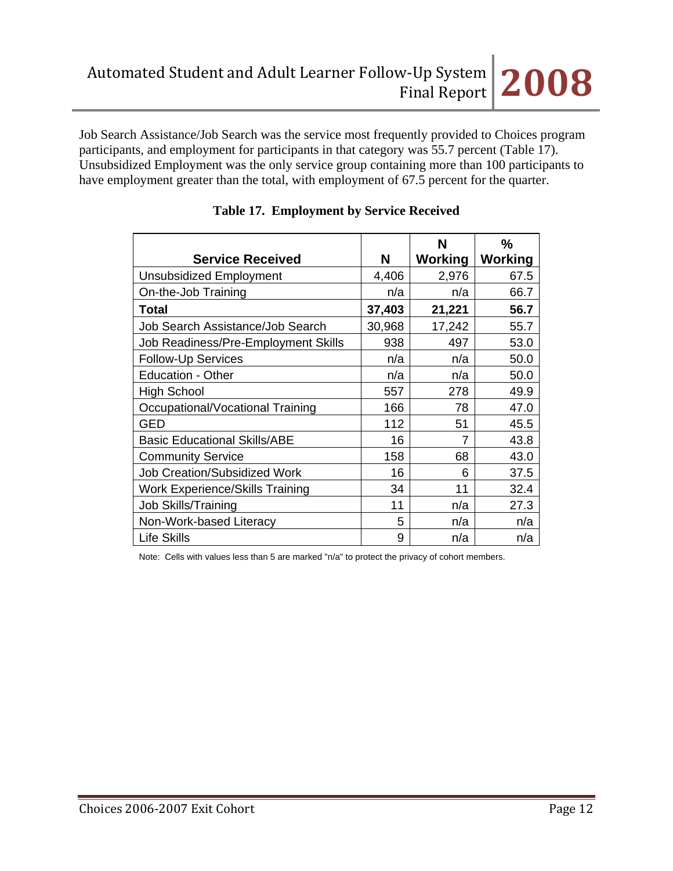Job Search Assistance/Job Search was the service most frequently provided to Choices program participants, and employment for participants in that category was 55.7 percent (Table 17). Unsubsidized Employment was the only service group containing more than 100 participants to have employment greater than the total, with employment of 67.5 percent for the quarter.

|                                        |        | N       | $\frac{0}{0}$  |
|----------------------------------------|--------|---------|----------------|
| <b>Service Received</b>                | N      | Working | <b>Working</b> |
| <b>Unsubsidized Employment</b>         | 4,406  | 2,976   | 67.5           |
| On-the-Job Training                    | n/a    | n/a     | 66.7           |
| <b>Total</b>                           | 37,403 | 21,221  | 56.7           |
| Job Search Assistance/Job Search       | 30,968 | 17,242  | 55.7           |
| Job Readiness/Pre-Employment Skills    | 938    | 497     | 53.0           |
| <b>Follow-Up Services</b>              | n/a    | n/a     | 50.0           |
| <b>Education - Other</b>               | n/a    | n/a     | 50.0           |
| <b>High School</b>                     | 557    | 278     | 49.9           |
| Occupational/Vocational Training       | 166    | 78      | 47.0           |
| <b>GED</b>                             | 112    | 51      | 45.5           |
| <b>Basic Educational Skills/ABE</b>    | 16     | 7       | 43.8           |
| <b>Community Service</b>               | 158    | 68      | 43.0           |
| <b>Job Creation/Subsidized Work</b>    | 16     | 6       | 37.5           |
| <b>Work Experience/Skills Training</b> | 34     | 11      | 32.4           |
| Job Skills/Training                    | 11     | n/a     | 27.3           |
| Non-Work-based Literacy                | 5      | n/a     | n/a            |
| <b>Life Skills</b>                     | 9      | n/a     | n/a            |

## **Table 17. Employment by Service Received**

Note: Cells with values less than 5 are marked "n/a" to protect the privacy of cohort members.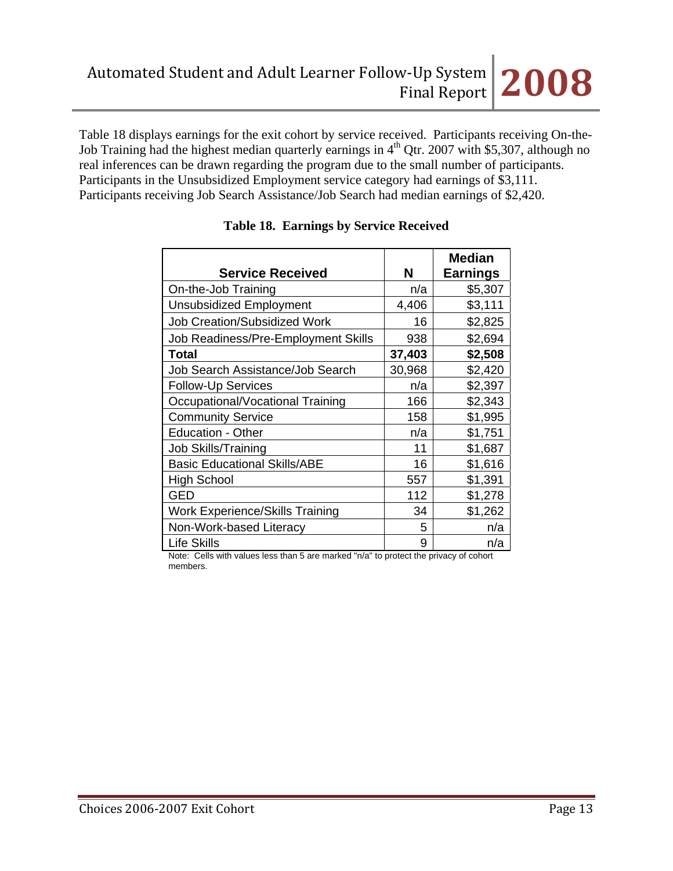Table 18 displays earnings for the exit cohort by service received. Participants receiving On-the-Job Training had the highest median quarterly earnings in  $4<sup>th</sup>$  Qtr. 2007 with \$5,307, although no real inferences can be drawn regarding the program due to the small number of participants. Participants in the Unsubsidized Employment service category had earnings of \$3,111. Participants receiving Job Search Assistance/Job Search had median earnings of \$2,420.

|                                     |        | <b>Median</b>   |
|-------------------------------------|--------|-----------------|
| <b>Service Received</b>             | N      | <b>Earnings</b> |
| On-the-Job Training                 | n/a    | \$5,307         |
| <b>Unsubsidized Employment</b>      | 4,406  | \$3,111         |
| <b>Job Creation/Subsidized Work</b> | 16     | \$2,825         |
| Job Readiness/Pre-Employment Skills | 938    | \$2,694         |
| Total                               | 37,403 | \$2,508         |
| Job Search Assistance/Job Search    | 30,968 | \$2,420         |
| <b>Follow-Up Services</b>           | n/a    | \$2,397         |
| Occupational/Vocational Training    | 166    | \$2,343         |
| <b>Community Service</b>            | 158    | \$1,995         |
| <b>Education - Other</b>            | n/a    | \$1,751         |
| <b>Job Skills/Training</b>          | 11     | \$1,687         |
| <b>Basic Educational Skills/ABE</b> | 16     | \$1,616         |
| <b>High School</b>                  | 557    | \$1,391         |
| GED                                 | 112    | \$1,278         |
| Work Experience/Skills Training     | 34     | \$1,262         |
| Non-Work-based Literacy             | 5      | n/a             |
| <b>Life Skills</b>                  | 9      | n/a             |

# **Table 18. Earnings by Service Received**

Note: Cells with values less than 5 are marked "n/a" to protect the privacy of cohort members.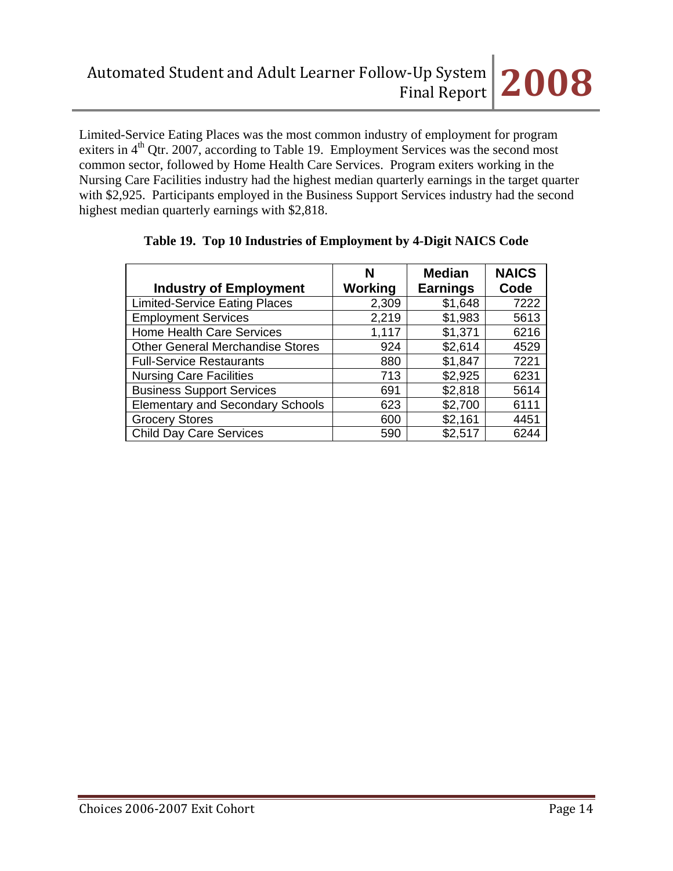Limited-Service Eating Places was the most common industry of employment for program exiters in  $4<sup>th</sup>$  Qtr. 2007, according to Table 19. Employment Services was the second most common sector, followed by Home Health Care Services. Program exiters working in the Nursing Care Facilities industry had the highest median quarterly earnings in the target quarter with \$2,925. Participants employed in the Business Support Services industry had the second highest median quarterly earnings with \$2,818.

| <b>Industry of Employment</b>           | N<br>Working | <b>Median</b><br><b>Earnings</b> | <b>NAICS</b><br>Code |
|-----------------------------------------|--------------|----------------------------------|----------------------|
| <b>Limited-Service Eating Places</b>    | 2,309        | \$1,648                          | 7222                 |
| <b>Employment Services</b>              | 2,219        | \$1,983                          | 5613                 |
| <b>Home Health Care Services</b>        | 1,117        | \$1,371                          | 6216                 |
| <b>Other General Merchandise Stores</b> | 924          | \$2,614                          | 4529                 |
| <b>Full-Service Restaurants</b>         | 880          | \$1,847                          | 7221                 |
| <b>Nursing Care Facilities</b>          | 713          | \$2,925                          | 6231                 |
| <b>Business Support Services</b>        | 691          | \$2,818                          | 5614                 |
| <b>Elementary and Secondary Schools</b> | 623          | \$2,700                          | 6111                 |
| <b>Grocery Stores</b>                   | 600          | \$2,161                          | 4451                 |
| <b>Child Day Care Services</b>          | 590          | \$2,517                          | 6244                 |

## **Table 19. Top 10 Industries of Employment by 4-Digit NAICS Code**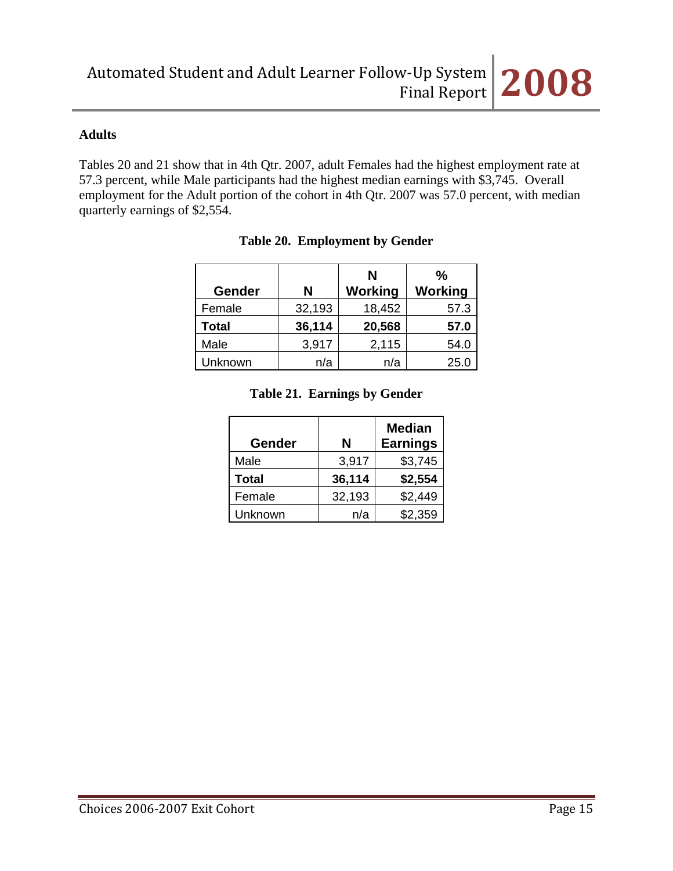## **Adults**

Tables 20 and 21 show that in 4th Qtr. 2007, adult Females had the highest employment rate at 57.3 percent, while Male participants had the highest median earnings with \$3,745. Overall employment for the Adult portion of the cohort in 4th Qtr. 2007 was 57.0 percent, with median quarterly earnings of \$2,554.

|               |        | N              | $\frac{0}{0}$  |
|---------------|--------|----------------|----------------|
| <b>Gender</b> | Ν      | <b>Working</b> | <b>Working</b> |
| Female        | 32,193 | 18,452         | 57.3           |
| Total         | 36,114 | 20,568         | 57.0           |
| Male          | 3,917  | 2,115          | 54.0           |
| Unknown       | n/a    | n/a            | 25.0           |

## **Table 20. Employment by Gender**

### **Table 21. Earnings by Gender**

| Gender  | N      | <b>Median</b><br><b>Earnings</b> |
|---------|--------|----------------------------------|
| Male    | 3,917  | \$3,745                          |
| Total   | 36,114 | \$2,554                          |
| Female  | 32,193 | \$2,449                          |
| Unknown | n/a    | \$2,359                          |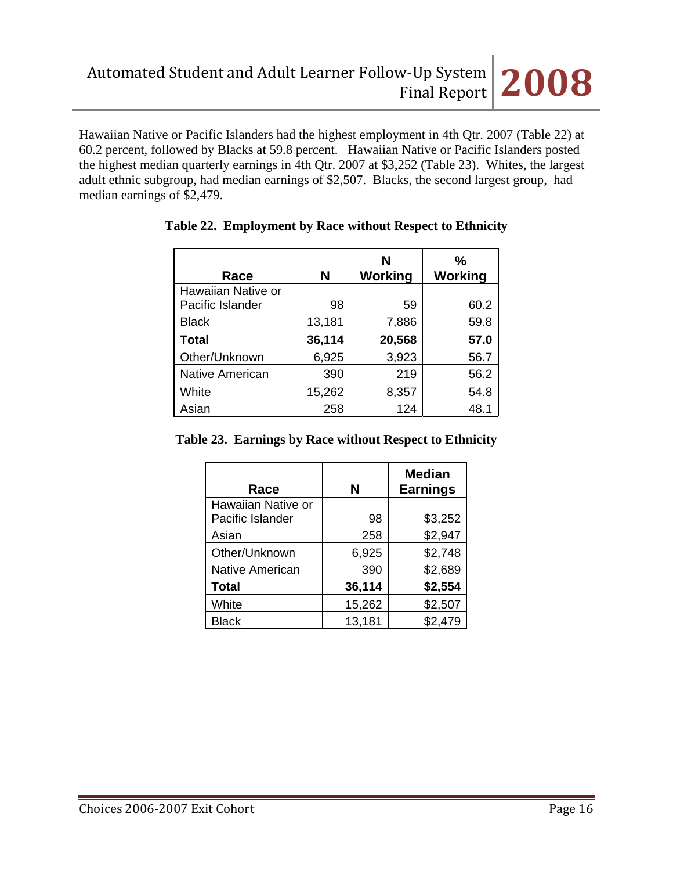Hawaiian Native or Pacific Islanders had the highest employment in 4th Qtr. 2007 (Table 22) at 60.2 percent, followed by Blacks at 59.8 percent. Hawaiian Native or Pacific Islanders posted the highest median quarterly earnings in 4th Qtr. 2007 at \$3,252 (Table 23). Whites, the largest adult ethnic subgroup, had median earnings of \$2,507. Blacks, the second largest group, had median earnings of \$2,479.

| Race                   | N      | N<br>Working | %<br>Working |
|------------------------|--------|--------------|--------------|
| Hawaiian Native or     |        |              |              |
| Pacific Islander       | 98     | 59           | 60.2         |
| <b>Black</b>           | 13,181 | 7,886        | 59.8         |
| <b>Total</b>           | 36,114 | 20,568       | 57.0         |
| Other/Unknown          | 6,925  | 3,923        | 56.7         |
| <b>Native American</b> | 390    | 219          | 56.2         |
| White                  | 15,262 | 8,357        | 54.8         |
| Asian                  | 258    | 124          | 48.1         |

# **Table 22. Employment by Race without Respect to Ethnicity**

**Table 23. Earnings by Race without Respect to Ethnicity**

| Race               | N      | <b>Median</b><br><b>Earnings</b> |
|--------------------|--------|----------------------------------|
| Hawaiian Native or |        |                                  |
| Pacific Islander   | 98     | \$3,252                          |
| Asian              | 258    | \$2,947                          |
| Other/Unknown      | 6,925  | \$2,748                          |
| Native American    | 390    | \$2,689                          |
| <b>Total</b>       | 36,114 | \$2,554                          |
| White              | 15,262 | \$2,507                          |
| <b>Black</b>       | 13,181 | \$2,479                          |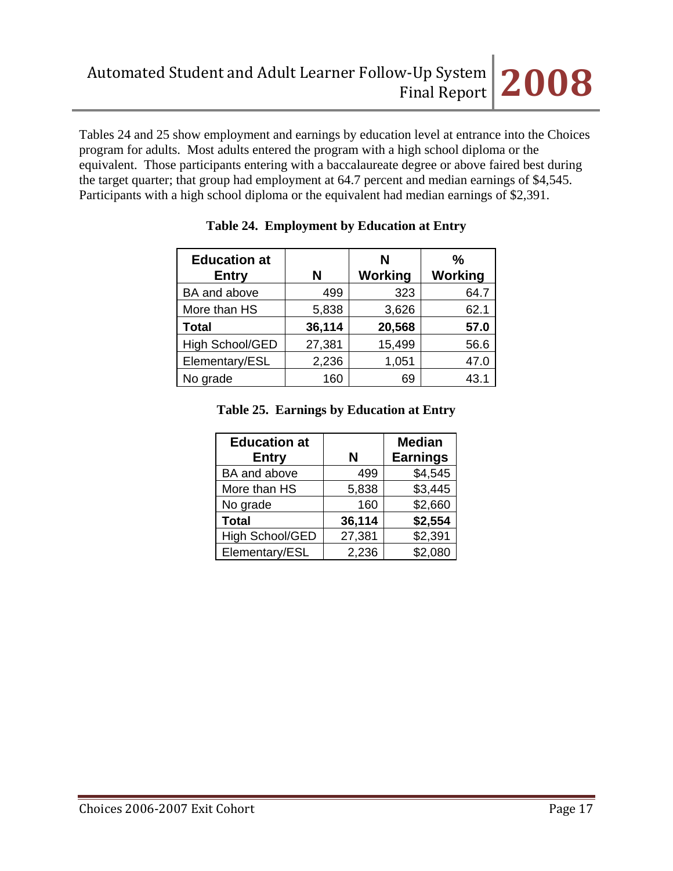Tables 24 and 25 show employment and earnings by education level at entrance into the Choices program for adults. Most adults entered the program with a high school diploma or the equivalent. Those participants entering with a baccalaureate degree or above faired best during the target quarter; that group had employment at 64.7 percent and median earnings of \$4,545. Participants with a high school diploma or the equivalent had median earnings of \$2,391.

| <b>Education at</b><br><b>Entry</b> | N      | N<br>Working | %<br><b>Working</b> |
|-------------------------------------|--------|--------------|---------------------|
| BA and above                        | 499    | 323          | 64.7                |
| More than HS                        | 5,838  | 3,626        | 62.1                |
| <b>Total</b>                        | 36,114 | 20,568       | 57.0                |
| High School/GED                     | 27,381 | 15,499       | 56.6                |
| Elementary/ESL                      | 2,236  | 1,051        | 47.0                |
| No grade                            | 160    | 69           | 43.1                |

|  | Table 24. Employment by Education at Entry |  |
|--|--------------------------------------------|--|
|--|--------------------------------------------|--|

# **Table 25. Earnings by Education at Entry**

| <b>Education at</b><br><b>Entry</b> | N      | <b>Median</b><br><b>Earnings</b> |
|-------------------------------------|--------|----------------------------------|
| BA and above                        | 499    | \$4,545                          |
| More than HS                        | 5,838  | \$3,445                          |
| No grade                            | 160    | \$2,660                          |
| <b>Total</b>                        | 36,114 | \$2,554                          |
| High School/GED                     | 27,381 | \$2,391                          |
| Elementary/ESL                      | 2,236  | \$2,080                          |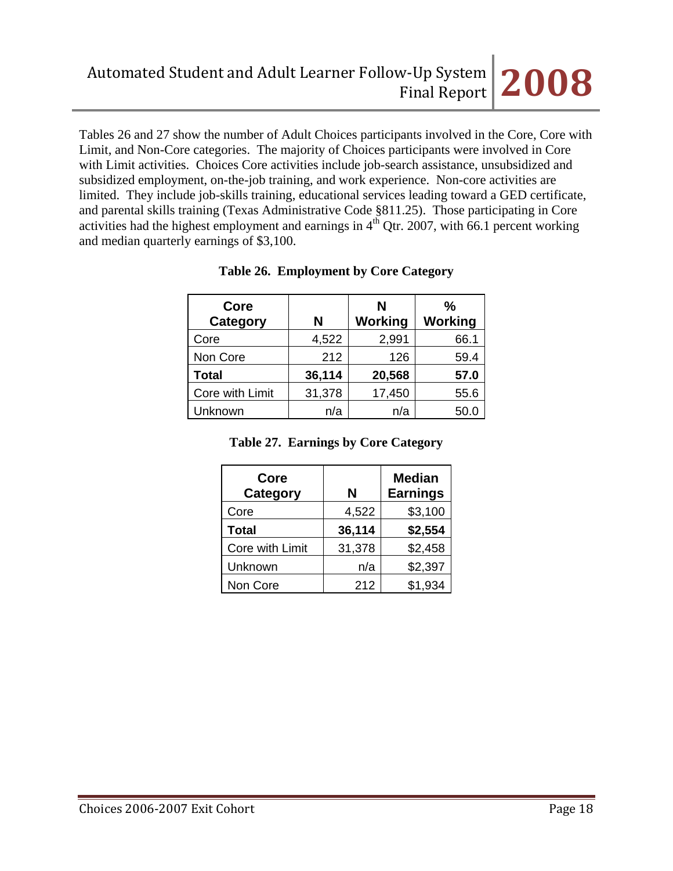Tables 26 and 27 show the number of Adult Choices participants involved in the Core, Core with Limit, and Non-Core categories. The majority of Choices participants were involved in Core with Limit activities. Choices Core activities include job-search assistance, unsubsidized and subsidized employment, on-the-job training, and work experience. Non-core activities are limited. They include job-skills training, educational services leading toward a GED certificate, and parental skills training (Texas Administrative Code §811.25). Those participating in Core activities had the highest employment and earnings in  $4<sup>th</sup>$  Qtr. 2007, with 66.1 percent working and median quarterly earnings of \$3,100.

| Core<br><b>Category</b> | N      | N<br>Working | ℅<br>Working |
|-------------------------|--------|--------------|--------------|
| Core                    | 4,522  | 2,991        | 66.1         |
| Non Core                | 212    | 126          | 59.4         |
| <b>Total</b>            | 36,114 | 20,568       | 57.0         |
| Core with Limit         | 31,378 | 17,450       | 55.6         |
| Unknown                 | n/a    | n/a          | 50.0         |

## **Table 26. Employment by Core Category**

| Table 27. Earnings by Core Category |  |  |  |
|-------------------------------------|--|--|--|
|-------------------------------------|--|--|--|

| Core<br>Category | N      | <b>Median</b><br><b>Earnings</b> |
|------------------|--------|----------------------------------|
| Core             | 4,522  | \$3,100                          |
| <b>Total</b>     | 36,114 | \$2,554                          |
| Core with Limit  | 31,378 | \$2,458                          |
| Unknown          | n/a    | \$2,397                          |
| Non Core         | 212    | \$1,934                          |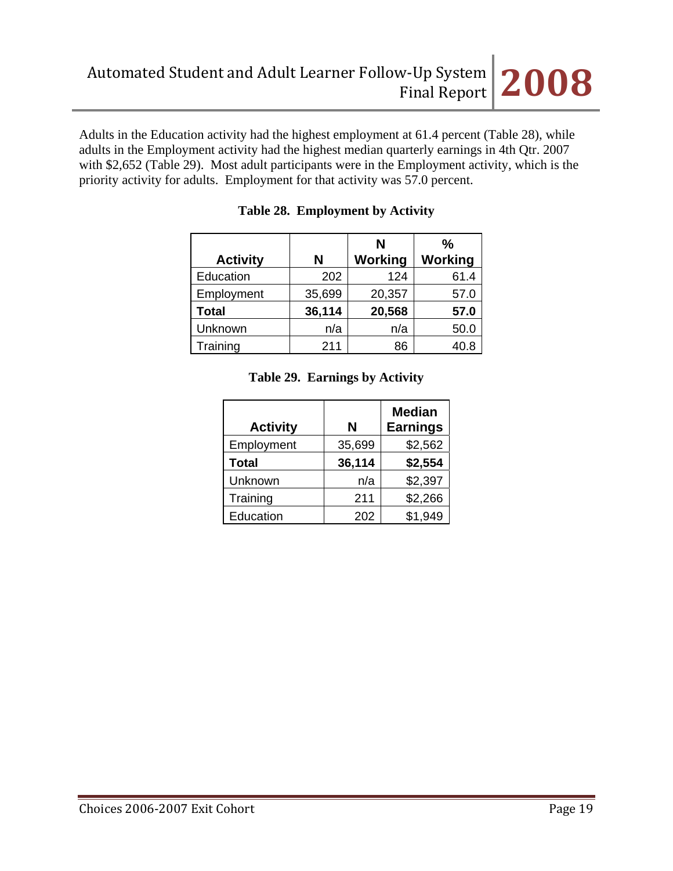Adults in the Education activity had the highest employment at 61.4 percent (Table 28), while adults in the Employment activity had the highest median quarterly earnings in 4th Qtr. 2007 with \$2,652 (Table 29). Most adult participants were in the Employment activity, which is the priority activity for adults. Employment for that activity was 57.0 percent.

|                 |        | N       | $\frac{0}{0}$ |
|-----------------|--------|---------|---------------|
| <b>Activity</b> | N      | Working | Working       |
| Education       | 202    | 124     | 61.4          |
| Employment      | 35,699 | 20,357  | 57.0          |
| <b>Total</b>    | 36,114 | 20,568  | 57.0          |
| Unknown         | n/a    | n/a     | 50.0          |
| Training        | 211    | 86      | 40.8          |

## **Table 28. Employment by Activity**

| <b>Activity</b> | N      | <b>Median</b><br><b>Earnings</b> |
|-----------------|--------|----------------------------------|
| Employment      | 35,699 | \$2,562                          |
| <b>Total</b>    | 36,114 | \$2,554                          |
| Unknown         | n/a    | \$2,397                          |
| Training        | 211    | \$2,266                          |
| Education       | 202    | \$1.949                          |

### **Table 29. Earnings by Activity**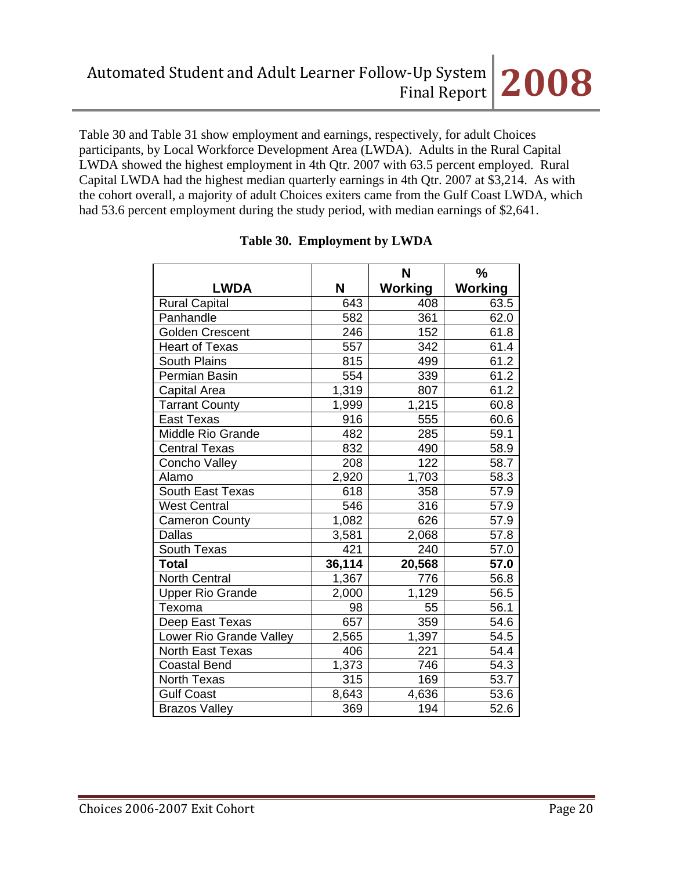Table 30 and Table 31 show employment and earnings, respectively, for adult Choices participants, by Local Workforce Development Area (LWDA). Adults in the Rural Capital LWDA showed the highest employment in 4th Qtr. 2007 with 63.5 percent employed. Rural Capital LWDA had the highest median quarterly earnings in 4th Qtr. 2007 at \$3,214. As with the cohort overall, a majority of adult Choices exiters came from the Gulf Coast LWDA, which had 53.6 percent employment during the study period, with median earnings of \$2,641.

|                         |                    | N              | %       |
|-------------------------|--------------------|----------------|---------|
| <b>LWDA</b>             | N                  | <b>Working</b> | Working |
| <b>Rural Capital</b>    | 643                | 408            | 63.5    |
| Panhandle               | 582                | 361            | 62.0    |
| <b>Golden Crescent</b>  | 246                | 152            | 61.8    |
| <b>Heart of Texas</b>   | 557                | 342            | 61.4    |
| <b>South Plains</b>     | 815                | 499            | 61.2    |
| Permian Basin           | 554                | 339            | 61.2    |
| Capital Area            | $\overline{1},319$ | 807            | 61.2    |
| <b>Tarrant County</b>   | 1,999              | 1,215          | 60.8    |
| <b>East Texas</b>       | 916                | 555            | 60.6    |
| Middle Rio Grande       | 482                | 285            | 59.1    |
| <b>Central Texas</b>    | 832                | 490            | 58.9    |
| Concho Valley           | 208                | 122            | 58.7    |
| Alamo                   | 2,920              | 1,703          | 58.3    |
| South East Texas        | 618                | 358            | 57.9    |
| <b>West Central</b>     | 546                | 316            | 57.9    |
| <b>Cameron County</b>   | 1,082              | 626            | 57.9    |
| <b>Dallas</b>           | 3,581              | 2,068          | 57.8    |
| South Texas             | 421                | 240            | 57.0    |
| <b>Total</b>            | 36,114             | 20,568         | 57.0    |
| <b>North Central</b>    | 1,367              | 776            | 56.8    |
| <b>Upper Rio Grande</b> | 2,000              | 1,129          | 56.5    |
| Texoma                  | 98                 | 55             | 56.1    |
| Deep East Texas         | 657                | 359            | 54.6    |
| Lower Rio Grande Valley | 2,565              | 1,397          | 54.5    |
| North East Texas        | 406                | 221            | 54.4    |
| <b>Coastal Bend</b>     | 1,373              | 746            | 54.3    |
| <b>North Texas</b>      | $\overline{3}$ 15  | 169            | 53.7    |
| <b>Gulf Coast</b>       | 8,643              | 4,636          | 53.6    |
| <b>Brazos Valley</b>    | 369                | 194            | 52.6    |

# **Table 30. Employment by LWDA**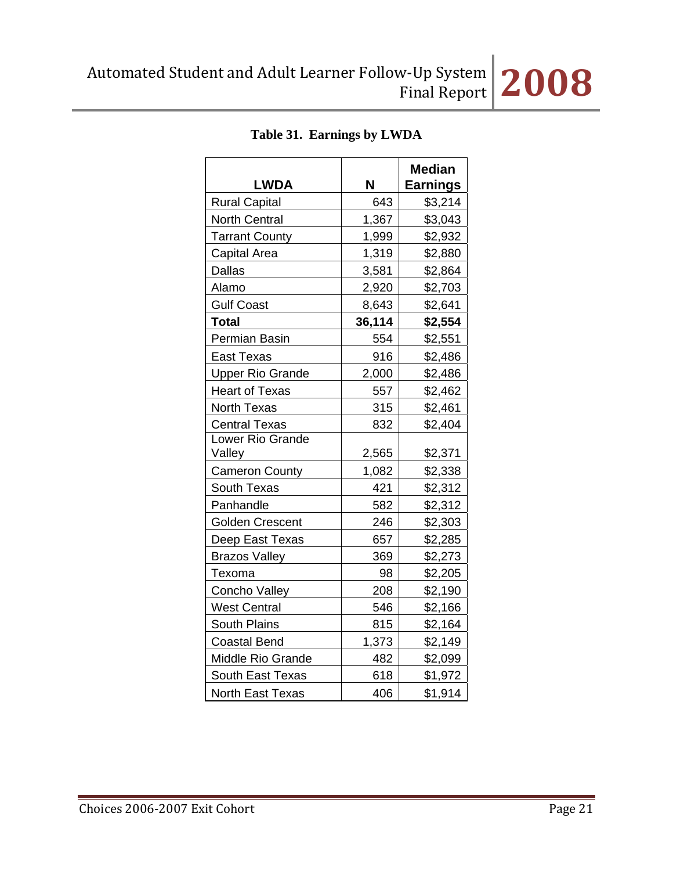| <b>LWDA</b>                | N      | <b>Median</b><br><b>Earnings</b> |
|----------------------------|--------|----------------------------------|
| <b>Rural Capital</b>       | 643    | \$3,214                          |
| <b>North Central</b>       | 1,367  | \$3,043                          |
| <b>Tarrant County</b>      | 1,999  | \$2,932                          |
| Capital Area               | 1,319  | \$2,880                          |
| <b>Dallas</b>              | 3,581  | \$2,864                          |
| Alamo                      | 2,920  | \$2,703                          |
| <b>Gulf Coast</b>          | 8,643  | \$2,641                          |
| <b>Total</b>               | 36,114 | \$2,554                          |
| Permian Basin              | 554    | \$2,551                          |
| <b>East Texas</b>          | 916    | \$2,486                          |
| <b>Upper Rio Grande</b>    | 2,000  | \$2,486                          |
| <b>Heart of Texas</b>      | 557    | \$2,462                          |
| North Texas                | 315    | \$2,461                          |
| <b>Central Texas</b>       | 832    | \$2,404                          |
| Lower Rio Grande<br>Valley | 2,565  | \$2,371                          |
| <b>Cameron County</b>      | 1,082  | \$2,338                          |
| South Texas                | 421    | \$2,312                          |
| Panhandle                  | 582    | \$2,312                          |
| <b>Golden Crescent</b>     | 246    | \$2,303                          |
| Deep East Texas            | 657    | \$2,285                          |
| <b>Brazos Valley</b>       | 369    | \$2,273                          |
| Texoma                     | 98     | \$2,205                          |
| Concho Valley              | 208    | \$2,190                          |
| <b>West Central</b>        | 546    | \$2,166                          |
| <b>South Plains</b>        | 815    | \$2,164                          |
| <b>Coastal Bend</b>        | 1,373  | \$2,149                          |
| <b>Middle Rio Grande</b>   | 482    | \$2,099                          |
| <b>South East Texas</b>    | 618    | \$1,972                          |
| North East Texas           | 406    | \$1,914                          |

# **Table 31. Earnings by LWDA**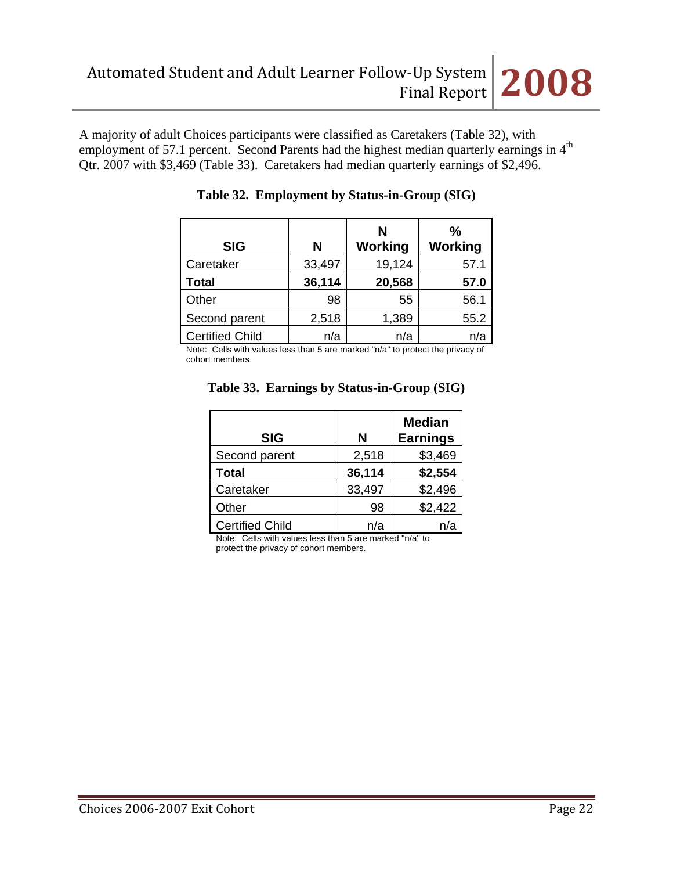A majority of adult Choices participants were classified as Caretakers (Table 32), with employment of 57.1 percent. Second Parents had the highest median quarterly earnings in 4<sup>th</sup> Qtr. 2007 with \$3,469 (Table 33). Caretakers had median quarterly earnings of \$2,496.

|                        |        | N       | ℅       |
|------------------------|--------|---------|---------|
| <b>SIG</b>             | N      | Working | Working |
| Caretaker              | 33,497 | 19,124  | 57.1    |
| <b>Total</b>           | 36,114 | 20,568  | 57.0    |
| Other                  | 98     | 55      | 56.1    |
| Second parent          | 2,518  | 1,389   | 55.2    |
| <b>Certified Child</b> | n/a    | n/a     |         |

|  | Table 32. Employment by Status-in-Group (SIG) |  |
|--|-----------------------------------------------|--|
|--|-----------------------------------------------|--|

Note: Cells with values less than 5 are marked "n/a" to protect the privacy of cohort members.

| <b>SIG</b>             | N      | <b>Median</b><br><b>Earnings</b> |
|------------------------|--------|----------------------------------|
| Second parent          | 2,518  | \$3,469                          |
| <b>Total</b>           | 36,114 | \$2,554                          |
| Caretaker              | 33,497 | \$2,496                          |
| Other                  | 98     | \$2,422                          |
| <b>Certified Child</b> | n/a    | n/a                              |

## **Table 33. Earnings by Status-in-Group (SIG)**

Note: Cells with values less than 5 are marked "n/a" to protect the privacy of cohort members.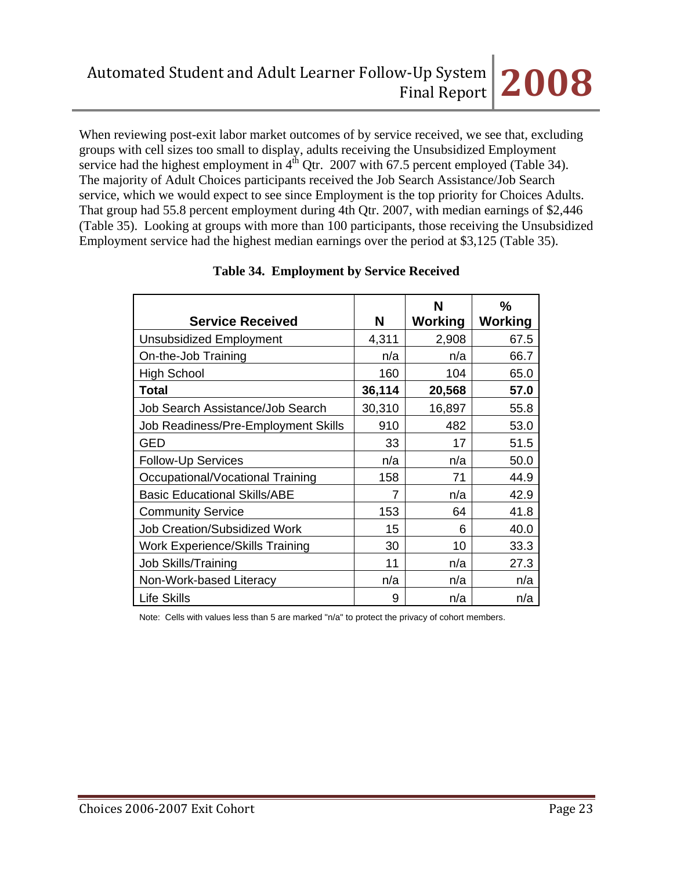When reviewing post-exit labor market outcomes of by service received, we see that, excluding groups with cell sizes too small to display, adults receiving the Unsubsidized Employment service had the highest employment in  $4<sup>th</sup>$  Qtr. 2007 with 67.5 percent employed (Table 34). The majority of Adult Choices participants received the Job Search Assistance/Job Search service, which we would expect to see since Employment is the top priority for Choices Adults. That group had 55.8 percent employment during 4th Qtr. 2007, with median earnings of \$2,446 (Table 35). Looking at groups with more than 100 participants, those receiving the Unsubsidized Employment service had the highest median earnings over the period at \$3,125 (Table 35).

|                                        |        | N       | $\frac{0}{0}$ |
|----------------------------------------|--------|---------|---------------|
| <b>Service Received</b>                | N      | Working | Working       |
| <b>Unsubsidized Employment</b>         | 4,311  | 2,908   | 67.5          |
| On-the-Job Training                    | n/a    | n/a     | 66.7          |
| <b>High School</b>                     | 160    | 104     | 65.0          |
| <b>Total</b>                           | 36,114 | 20,568  | 57.0          |
| Job Search Assistance/Job Search       | 30,310 | 16,897  | 55.8          |
| Job Readiness/Pre-Employment Skills    | 910    | 482     | 53.0          |
| <b>GED</b>                             | 33     | 17      | 51.5          |
| <b>Follow-Up Services</b>              | n/a    | n/a     | 50.0          |
| Occupational/Vocational Training       | 158    | 71      | 44.9          |
| <b>Basic Educational Skills/ABE</b>    | 7      | n/a     | 42.9          |
| <b>Community Service</b>               | 153    | 64      | 41.8          |
| <b>Job Creation/Subsidized Work</b>    | 15     | 6       | 40.0          |
| <b>Work Experience/Skills Training</b> | 30     | 10      | 33.3          |
| <b>Job Skills/Training</b>             | 11     | n/a     | 27.3          |
| Non-Work-based Literacy                | n/a    | n/a     | n/a           |
| Life Skills                            | 9      | n/a     | n/a           |

# **Table 34. Employment by Service Received**

Note: Cells with values less than 5 are marked "n/a" to protect the privacy of cohort members.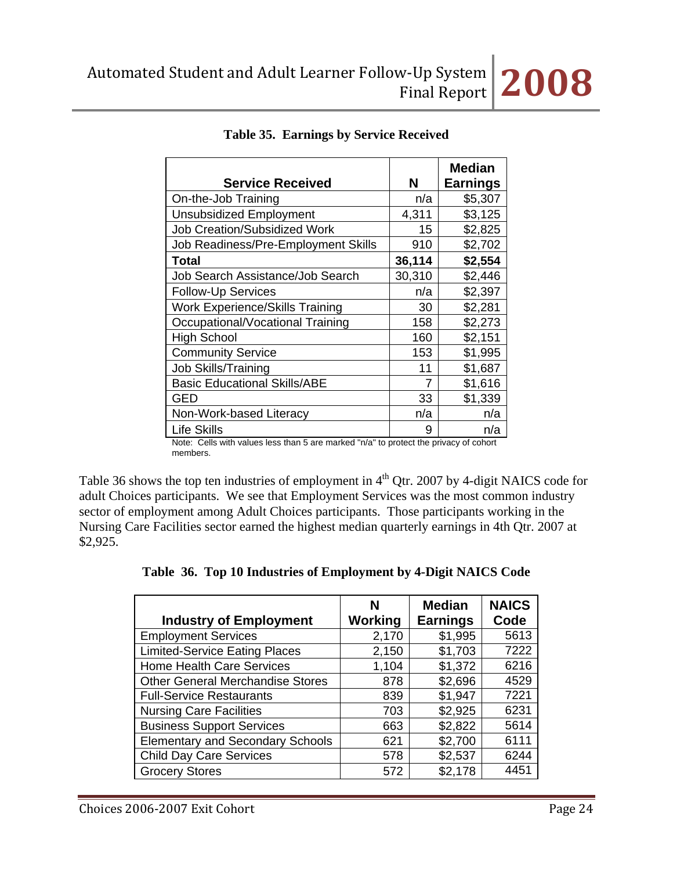|                                        |                | <b>Median</b>   |
|----------------------------------------|----------------|-----------------|
| <b>Service Received</b>                | N              | <b>Earnings</b> |
| On-the-Job Training                    | n/a            | \$5,307         |
| <b>Unsubsidized Employment</b>         | 4,311          | \$3,125         |
| <b>Job Creation/Subsidized Work</b>    | 15             | \$2,825         |
| Job Readiness/Pre-Employment Skills    | 910            | \$2,702         |
| Total                                  | 36,114         | \$2,554         |
| Job Search Assistance/Job Search       | 30,310         | \$2,446         |
| <b>Follow-Up Services</b>              | n/a            | \$2,397         |
| <b>Work Experience/Skills Training</b> | 30             | \$2,281         |
| Occupational/Vocational Training       | 158            | \$2,273         |
| <b>High School</b>                     | 160            | \$2,151         |
| <b>Community Service</b>               | 153            | \$1,995         |
| <b>Job Skills/Training</b>             | 11             | \$1,687         |
| <b>Basic Educational Skills/ABE</b>    | $\overline{7}$ | \$1,616         |
| GED                                    | 33             | \$1,339         |
| Non-Work-based Literacy                | n/a            | n/a             |
| Life Skills                            | 9              | n/a             |

## **Table 35. Earnings by Service Received**

Note: Cells with values less than 5 are marked "n/a" to protect the privacy of cohort members.

Table 36 shows the top ten industries of employment in  $4<sup>th</sup>$  Qtr. 2007 by 4-digit NAICS code for adult Choices participants. We see that Employment Services was the most common industry sector of employment among Adult Choices participants. Those participants working in the Nursing Care Facilities sector earned the highest median quarterly earnings in 4th Qtr. 2007 at \$2,925.

|  |  |  | Table 36. Top 10 Industries of Employment by 4-Digit NAICS Code |
|--|--|--|-----------------------------------------------------------------|
|  |  |  |                                                                 |

|                                         | N       | <b>Median</b>   | <b>NAICS</b> |
|-----------------------------------------|---------|-----------------|--------------|
| <b>Industry of Employment</b>           | Working | <b>Earnings</b> | Code         |
| <b>Employment Services</b>              | 2,170   | \$1,995         | 5613         |
| <b>Limited-Service Eating Places</b>    | 2,150   | \$1,703         | 7222         |
| <b>Home Health Care Services</b>        | 1,104   | \$1,372         | 6216         |
| <b>Other General Merchandise Stores</b> | 878     | \$2,696         | 4529         |
| <b>Full-Service Restaurants</b>         | 839     | \$1,947         | 7221         |
| <b>Nursing Care Facilities</b>          | 703     | \$2,925         | 6231         |
| <b>Business Support Services</b>        | 663     | \$2,822         | 5614         |
| <b>Elementary and Secondary Schools</b> | 621     | \$2,700         | 6111         |
| <b>Child Day Care Services</b>          | 578     | \$2,537         | 6244         |
| <b>Grocery Stores</b>                   | 572     | \$2,178         | 4451         |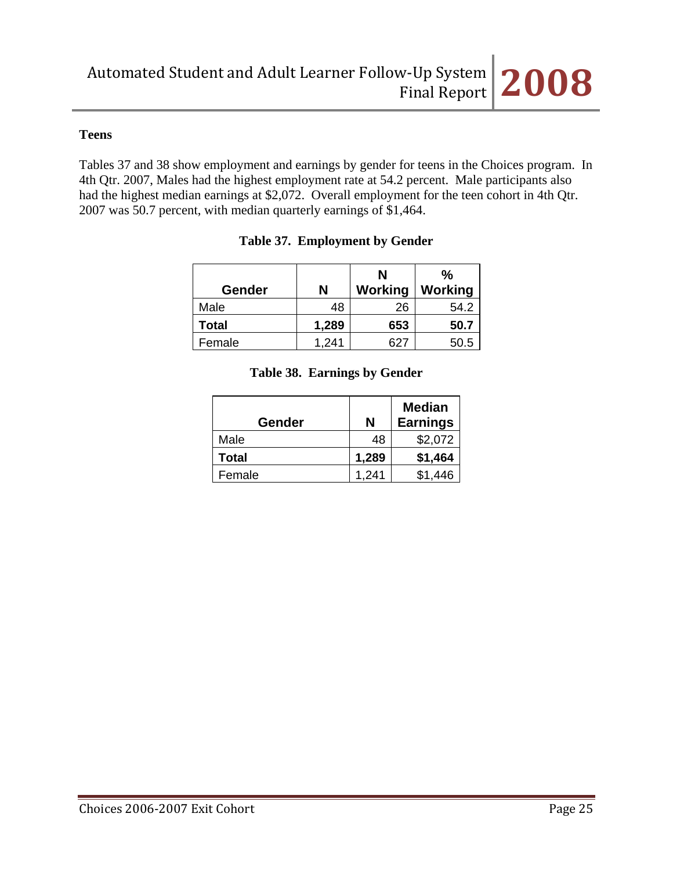### **Teens**

Tables 37 and 38 show employment and earnings by gender for teens in the Choices program. In 4th Qtr. 2007, Males had the highest employment rate at 54.2 percent. Male participants also had the highest median earnings at \$2,072. Overall employment for the teen cohort in 4th Qtr. 2007 was 50.7 percent, with median quarterly earnings of \$1,464.

| Gender       | Ν     | N<br>Working | $\frac{0}{0}$<br>Working |
|--------------|-------|--------------|--------------------------|
| Male         | 48    | 26           | 54.2                     |
| <b>Total</b> | 1,289 | 653          | 50.7                     |
| Female       | 1.241 | 627          | 50.5                     |

## **Table 37. Employment by Gender**

|  |  | Table 38. Earnings by Gender |
|--|--|------------------------------|
|--|--|------------------------------|

| Gender       | N     | <b>Median</b><br><b>Earnings</b> |
|--------------|-------|----------------------------------|
| Male         | 48    | \$2,072                          |
| <b>Total</b> | 1,289 | \$1,464                          |
| Female       | 1,241 | \$1,446                          |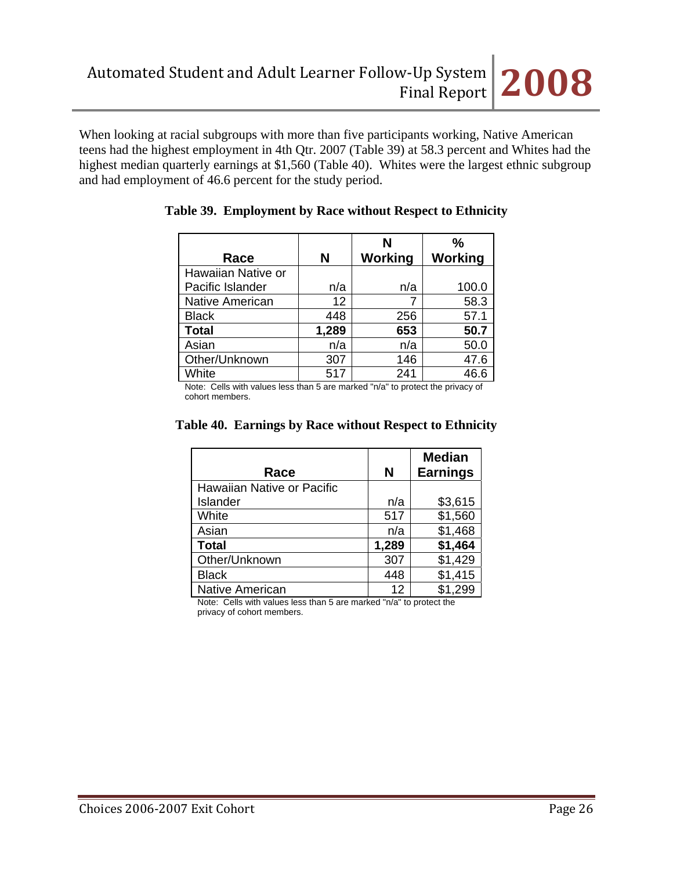When looking at racial subgroups with more than five participants working, Native American teens had the highest employment in 4th Qtr. 2007 (Table 39) at 58.3 percent and Whites had the highest median quarterly earnings at \$1,560 (Table 40). Whites were the largest ethnic subgroup and had employment of 46.6 percent for the study period.

| Race                   | N     | N<br>Working | $\frac{0}{0}$<br>Working |
|------------------------|-------|--------------|--------------------------|
| Hawaiian Native or     |       |              |                          |
| Pacific Islander       | n/a   | n/a          | 100.0                    |
| <b>Native American</b> | 12    |              | 58.3                     |
| <b>Black</b>           | 448   | 256          | 57.1                     |
| <b>Total</b>           | 1,289 | 653          | 50.7                     |
| Asian                  | n/a   | n/a          | 50.0                     |
| Other/Unknown          | 307   | 146          | 47.6                     |
| White                  | 517   | 241          | 46.6                     |

## **Table 39. Employment by Race without Respect to Ethnicity**

Note: Cells with values less than 5 are marked "n/a" to protect the privacy of cohort members.

| Race                       | N     | <b>Median</b><br><b>Earnings</b> |
|----------------------------|-------|----------------------------------|
| Hawaiian Native or Pacific |       |                                  |
| Islander                   | n/a   | \$3,615                          |
| White                      | 517   | \$1,560                          |
| Asian                      | n/a   | \$1,468                          |
| <b>Total</b>               | 1,289 | \$1,464                          |
| Other/Unknown              | 307   | \$1,429                          |
| <b>Black</b>               | 448   | \$1,415                          |
| <b>Native American</b>     | 12    | \$1,299                          |

#### **Table 40. Earnings by Race without Respect to Ethnicity**

Note: Cells with values less than 5 are marked "n/a" to protect the privacy of cohort members.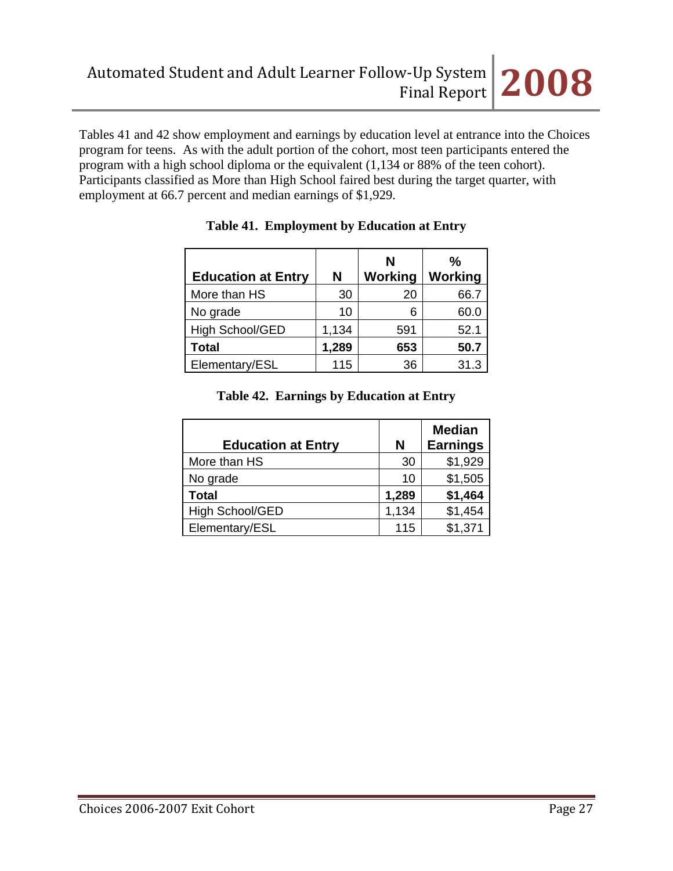

Tables 41 and 42 show employment and earnings by education level at entrance into the Choices program for teens. As with the adult portion of the cohort, most teen participants entered the program with a high school diploma or the equivalent (1,134 or 88% of the teen cohort). Participants classified as More than High School faired best during the target quarter, with employment at 66.7 percent and median earnings of \$1,929.

|                           |       | N       | $\frac{0}{0}$ |
|---------------------------|-------|---------|---------------|
| <b>Education at Entry</b> | N     | Working | Working       |
| More than HS              | 30    | 20      | 66.7          |
| No grade                  | 10    | 6       | 60.0          |
| High School/GED           | 1,134 | 591     | 52.1          |
| <b>Total</b>              | 1,289 | 653     | 50.7          |
| Elementary/ESL            | 115   | 36      | 31.3          |

# **Table 41. Employment by Education at Entry**

## **Table 42. Earnings by Education at Entry**

| <b>Education at Entry</b> | N     | <b>Median</b><br><b>Earnings</b> |
|---------------------------|-------|----------------------------------|
| More than HS              | 30    | \$1,929                          |
| No grade                  | 10    | \$1,505                          |
| <b>Total</b>              | 1,289 | \$1,464                          |
| High School/GED           | 1,134 | \$1,454                          |
| Elementary/ESL            | 115   | \$1,371                          |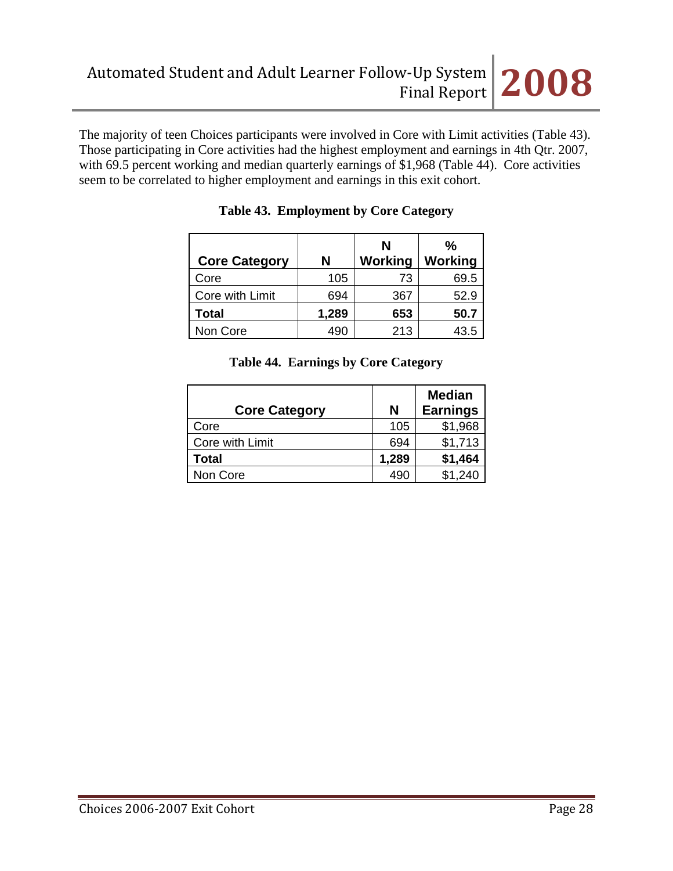The majority of teen Choices participants were involved in Core with Limit activities (Table 43). Those participating in Core activities had the highest employment and earnings in 4th Qtr. 2007, with 69.5 percent working and median quarterly earnings of \$1,968 (Table 44). Core activities seem to be correlated to higher employment and earnings in this exit cohort.

| <b>Core Category</b> | N     | N<br><b>Working</b> | %<br><b>Working</b> |
|----------------------|-------|---------------------|---------------------|
| Core                 | 105   | 73                  | 69.5                |
| Core with Limit      | 694   | 367                 | 52.9                |
| <b>Total</b>         | 1,289 | 653                 | 50.7                |
| Non Core             | 490   | 213                 | 43.5                |

# **Table 43. Employment by Core Category**

# **Table 44. Earnings by Core Category**

| <b>Core Category</b> | N     | <b>Median</b><br><b>Earnings</b> |
|----------------------|-------|----------------------------------|
| Core                 | 105   | \$1,968                          |
| Core with Limit      | 694   | \$1,713                          |
| Total                | 1,289 | \$1,464                          |
| Non Core             | 490   | \$1,240                          |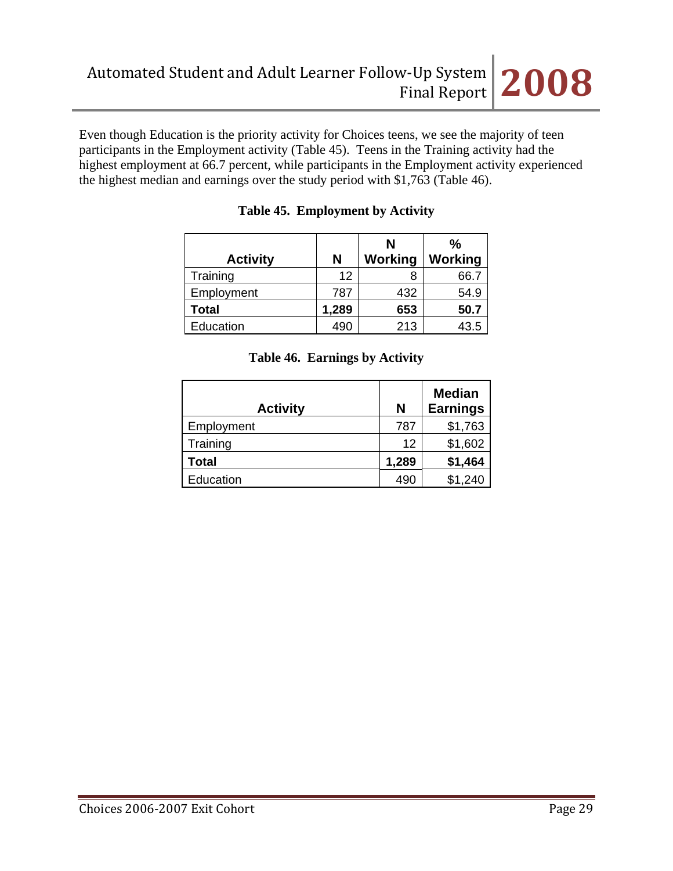

Even though Education is the priority activity for Choices teens, we see the majority of teen participants in the Employment activity (Table 45). Teens in the Training activity had the highest employment at 66.7 percent, while participants in the Employment activity experienced the highest median and earnings over the study period with \$1,763 (Table 46).

|                 |       | N              | $\frac{0}{0}$  |
|-----------------|-------|----------------|----------------|
| <b>Activity</b> | N     | <b>Working</b> | <b>Working</b> |
| Training        | 12    |                | 66.7           |
| Employment      | 787   | 432            | 54.9           |
| Total           | 1,289 | 653            | 50.7           |
| Education       | 490   | 213            | 43.5           |

## **Table 45. Employment by Activity**

| <b>Activity</b> | N     | <b>Median</b><br><b>Earnings</b> |
|-----------------|-------|----------------------------------|
| Employment      | 787   | \$1,763                          |
| Training        | 12    | \$1,602                          |
| Total           | 1,289 | \$1,464                          |
| Education       | 490   | \$1,240                          |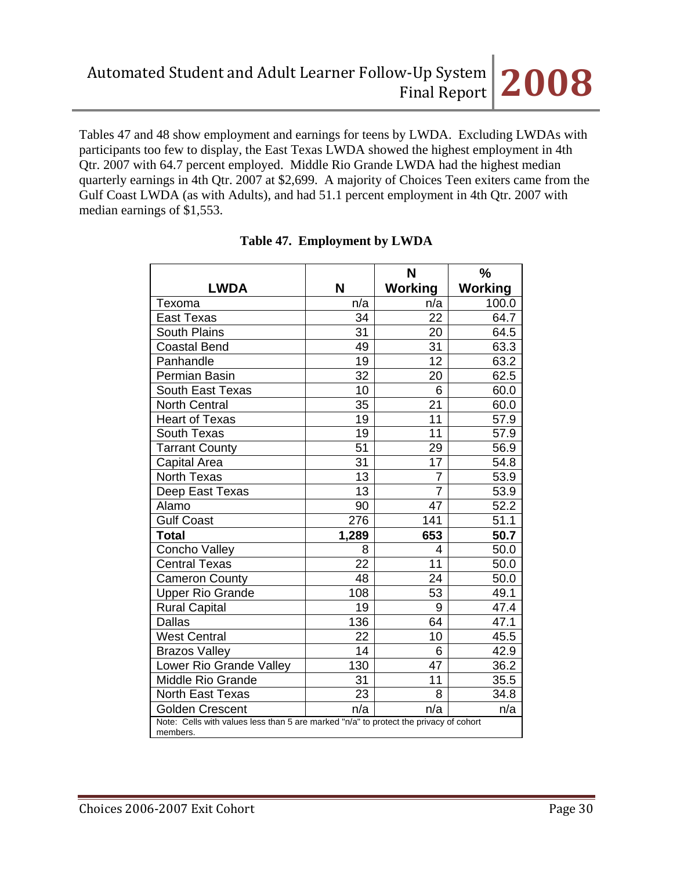Tables 47 and 48 show employment and earnings for teens by LWDA. Excluding LWDAs with participants too few to display, the East Texas LWDA showed the highest employment in 4th Qtr. 2007 with 64.7 percent employed. Middle Rio Grande LWDA had the highest median quarterly earnings in 4th Qtr. 2007 at \$2,699. A majority of Choices Teen exiters came from the Gulf Coast LWDA (as with Adults), and had 51.1 percent employment in 4th Qtr. 2007 with median earnings of \$1,553.

|                                                                                                   |       | N              | $\frac{0}{0}$ |  |
|---------------------------------------------------------------------------------------------------|-------|----------------|---------------|--|
| <b>LWDA</b>                                                                                       | N     | Working        | Working       |  |
| Texoma                                                                                            | n/a   | n/a            | 100.0         |  |
| <b>East Texas</b>                                                                                 | 34    | 22             | 64.7          |  |
| <b>South Plains</b>                                                                               | 31    | 20             | 64.5          |  |
| <b>Coastal Bend</b>                                                                               | 49    | 31             | 63.3          |  |
| Panhandle                                                                                         | 19    | 12             | 63.2          |  |
| Permian Basin                                                                                     | 32    | 20             | 62.5          |  |
| South East Texas                                                                                  | 10    | 6              | 60.0          |  |
| <b>North Central</b>                                                                              | 35    | 21             | 60.0          |  |
| <b>Heart of Texas</b>                                                                             | 19    | 11             | 57.9          |  |
| <b>South Texas</b>                                                                                | 19    | 11             | 57.9          |  |
| <b>Tarrant County</b>                                                                             | 51    | 29             | 56.9          |  |
| Capital Area                                                                                      | 31    | 17             | 54.8          |  |
| <b>North Texas</b>                                                                                | 13    | 7              | 53.9          |  |
| Deep East Texas                                                                                   | 13    | $\overline{7}$ | 53.9          |  |
| Alamo                                                                                             | 90    | 47             | 52.2          |  |
| <b>Gulf Coast</b>                                                                                 | 276   | 141            | 51.1          |  |
| <b>Total</b>                                                                                      | 1,289 | 653            | 50.7          |  |
| Concho Valley                                                                                     | 8     | 4              | 50.0          |  |
| <b>Central Texas</b>                                                                              | 22    | 11             | 50.0          |  |
| <b>Cameron County</b>                                                                             | 48    | 24             | 50.0          |  |
| <b>Upper Rio Grande</b>                                                                           | 108   | 53             | 49.1          |  |
| <b>Rural Capital</b>                                                                              | 19    | 9              | 47.4          |  |
| <b>Dallas</b>                                                                                     | 136   | 64             | 47.1          |  |
| <b>West Central</b>                                                                               | 22    | 10             | 45.5          |  |
| <b>Brazos Valley</b>                                                                              | 14    | 6              | 42.9          |  |
| Lower Rio Grande Valley                                                                           | 130   | 47             | 36.2          |  |
| <b>Middle Rio Grande</b>                                                                          | 31    | 11             | 35.5          |  |
| North East Texas                                                                                  | 23    | 8              | 34.8          |  |
| <b>Golden Crescent</b>                                                                            | n/a   | n/a            | n/a           |  |
| Note: Cells with values less than 5 are marked "n/a" to protect the privacy of cohort<br>members. |       |                |               |  |

## **Table 47. Employment by LWDA**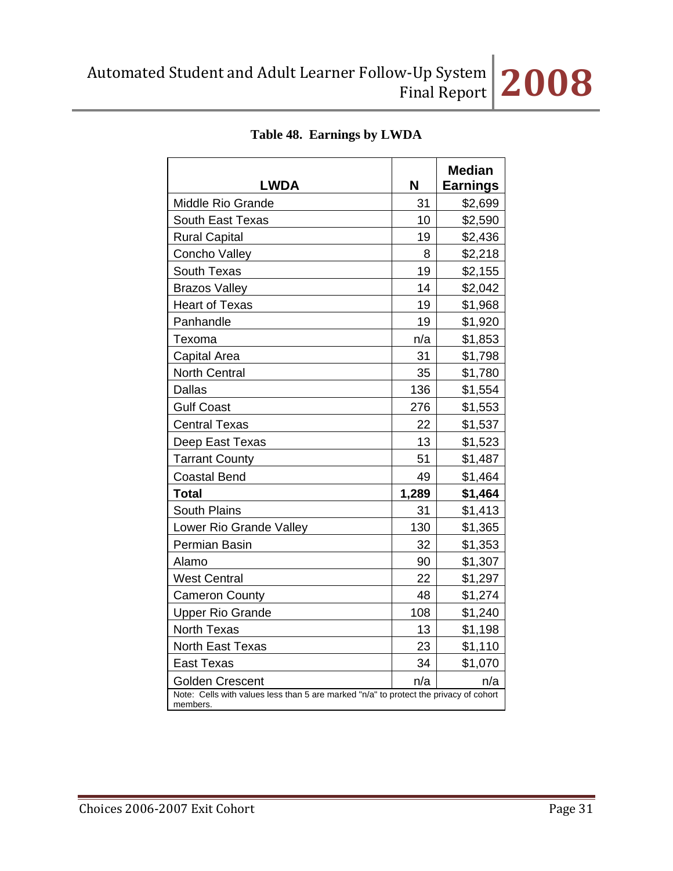|                                                                                                   |       | <b>Median</b>   |
|---------------------------------------------------------------------------------------------------|-------|-----------------|
| <b>LWDA</b>                                                                                       | N     | <b>Earnings</b> |
| <b>Middle Rio Grande</b>                                                                          | 31    | \$2,699         |
| <b>South East Texas</b>                                                                           | 10    | \$2,590         |
| <b>Rural Capital</b>                                                                              | 19    | \$2,436         |
| Concho Valley                                                                                     | 8     | \$2,218         |
| South Texas                                                                                       | 19    | \$2,155         |
| <b>Brazos Valley</b>                                                                              | 14    | \$2,042         |
| <b>Heart of Texas</b>                                                                             | 19    | \$1,968         |
| Panhandle                                                                                         | 19    | \$1,920         |
| Texoma                                                                                            | n/a   | \$1,853         |
| Capital Area                                                                                      | 31    | \$1,798         |
| <b>North Central</b>                                                                              | 35    | \$1,780         |
| <b>Dallas</b>                                                                                     | 136   | \$1,554         |
| <b>Gulf Coast</b>                                                                                 | 276   | \$1,553         |
| <b>Central Texas</b>                                                                              | 22    | \$1,537         |
| Deep East Texas                                                                                   | 13    | \$1,523         |
| <b>Tarrant County</b>                                                                             | 51    | \$1,487         |
| <b>Coastal Bend</b>                                                                               | 49    | \$1,464         |
| <b>Total</b>                                                                                      | 1,289 | \$1,464         |
| <b>South Plains</b>                                                                               | 31    | \$1,413         |
| Lower Rio Grande Valley                                                                           | 130   | \$1,365         |
| Permian Basin                                                                                     | 32    | \$1,353         |
| Alamo                                                                                             | 90    | \$1,307         |
| <b>West Central</b>                                                                               | 22    | \$1,297         |
| <b>Cameron County</b>                                                                             | 48    | \$1,274         |
| <b>Upper Rio Grande</b>                                                                           | 108   | \$1,240         |
| <b>North Texas</b>                                                                                | 13    | \$1,198         |
| North East Texas                                                                                  | 23    | \$1,110         |
| <b>East Texas</b>                                                                                 | 34    | \$1,070         |
| <b>Golden Crescent</b>                                                                            | n/a   | n/a             |
| Note: Cells with values less than 5 are marked "n/a" to protect the privacy of cohort<br>members. |       |                 |

# **Table 48. Earnings by LWDA**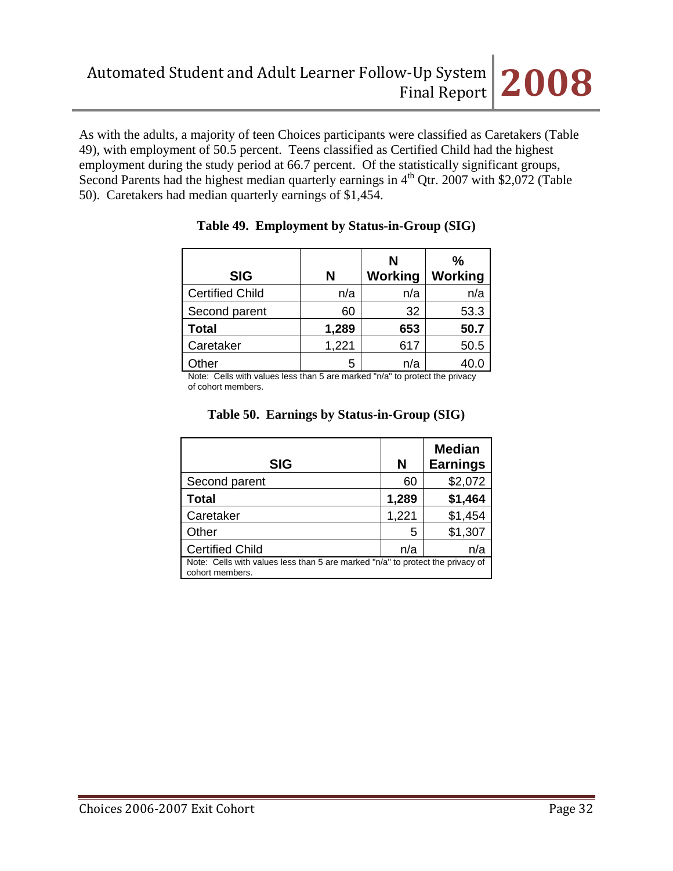As with the adults, a majority of teen Choices participants were classified as Caretakers (Table 49), with employment of 50.5 percent. Teens classified as Certified Child had the highest employment during the study period at 66.7 percent. Of the statistically significant groups, Second Parents had the highest median quarterly earnings in  $4<sup>th</sup>$  Qtr. 2007 with \$2,072 (Table 50). Caretakers had median quarterly earnings of \$1,454.

|                        |       | N       | $\frac{0}{0}$ |
|------------------------|-------|---------|---------------|
| <b>SIG</b>             | N     | Working | Working       |
| <b>Certified Child</b> | n/a   | n/a     | n/a           |
| Second parent          | 60    | 32      | 53.3          |
| <b>Total</b>           | 1,289 | 653     | 50.7          |
| Caretaker              | 1,221 | 617     | 50.5          |
| ther                   | 5     | n/a     |               |

### **Table 49. Employment by Status-in-Group (SIG)**

Note: Cells with values less than 5 are marked "n/a" to protect the privacy of cohort members.

| <b>SIG</b>                                                                                        | N     | <b>Median</b><br><b>Earnings</b> |
|---------------------------------------------------------------------------------------------------|-------|----------------------------------|
| Second parent                                                                                     | 60    | \$2,072                          |
| <b>Total</b>                                                                                      | 1,289 | \$1,464                          |
| Caretaker                                                                                         | 1,221 | \$1,454                          |
| Other                                                                                             | 5     | \$1,307                          |
| <b>Certified Child</b>                                                                            | n/a   | n/a                              |
| Note: Cells with values less than 5 are marked "n/a" to protect the privacy of<br>cohort members. |       |                                  |

### **Table 50. Earnings by Status-in-Group (SIG)**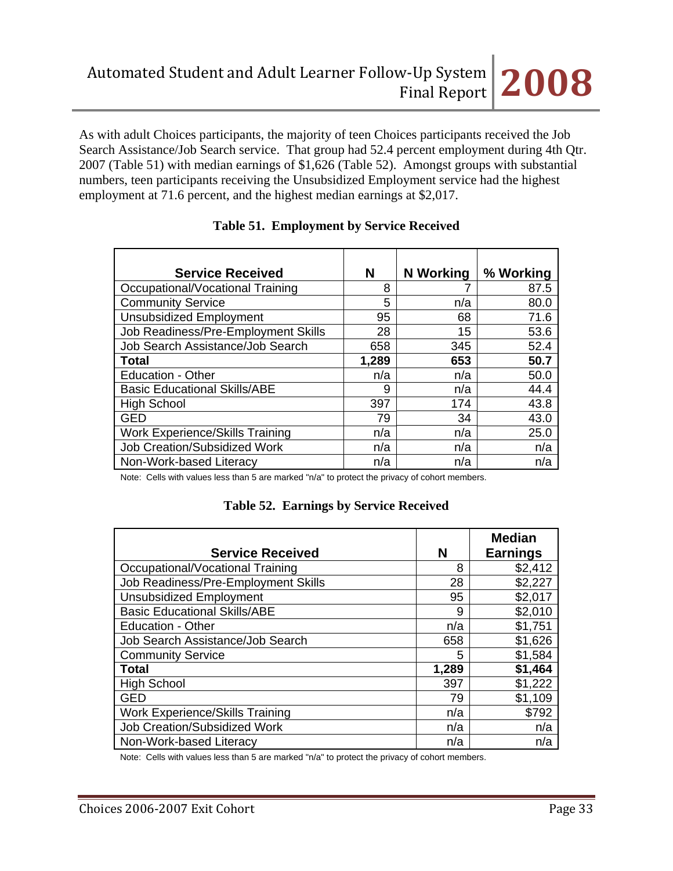As with adult Choices participants, the majority of teen Choices participants received the Job Search Assistance/Job Search service. That group had 52.4 percent employment during 4th Qtr. 2007 (Table 51) with median earnings of \$1,626 (Table 52). Amongst groups with substantial numbers, teen participants receiving the Unsubsidized Employment service had the highest employment at 71.6 percent, and the highest median earnings at \$2,017.

| <b>Service Received</b>                | N     | <b>N</b> Working | % Working |
|----------------------------------------|-------|------------------|-----------|
| Occupational/Vocational Training       | 8     |                  | 87.5      |
| <b>Community Service</b>               | 5     | n/a              | 80.0      |
| <b>Unsubsidized Employment</b>         | 95    | 68               | 71.6      |
| Job Readiness/Pre-Employment Skills    | 28    | 15               | 53.6      |
| Job Search Assistance/Job Search       | 658   | 345              | 52.4      |
| Total                                  | 1,289 | 653              | 50.7      |
| <b>Education - Other</b>               | n/a   | n/a              | 50.0      |
| <b>Basic Educational Skills/ABE</b>    | 9     | n/a              | 44.4      |
| <b>High School</b>                     | 397   | 174              | 43.8      |
| <b>GED</b>                             | 79    | 34               | 43.0      |
| <b>Work Experience/Skills Training</b> | n/a   | n/a              | 25.0      |
| Job Creation/Subsidized Work           | n/a   | n/a              | n/a       |
| Non-Work-based Literacy                | n/a   | n/a              | n/a       |

## **Table 51. Employment by Service Received**

Note: Cells with values less than 5 are marked "n/a" to protect the privacy of cohort members.

|  | <b>Table 52. Earnings by Service Received</b> |  |  |
|--|-----------------------------------------------|--|--|
|--|-----------------------------------------------|--|--|

| <b>Service Received</b>                | N     | <b>Median</b><br><b>Earnings</b> |
|----------------------------------------|-------|----------------------------------|
| Occupational/Vocational Training       | 8     | \$2,412                          |
| Job Readiness/Pre-Employment Skills    | 28    | \$2,227                          |
| <b>Unsubsidized Employment</b>         | 95    | \$2,017                          |
| <b>Basic Educational Skills/ABE</b>    | 9     | \$2,010                          |
| <b>Education - Other</b>               | n/a   | \$1,751                          |
| Job Search Assistance/Job Search       | 658   | \$1,626                          |
| <b>Community Service</b>               | 5     | \$1,584                          |
| <b>Total</b>                           | 1,289 | \$1,464                          |
| <b>High School</b>                     | 397   | \$1,222                          |
| <b>GED</b>                             | 79    | \$1,109                          |
| <b>Work Experience/Skills Training</b> | n/a   | \$792                            |
| <b>Job Creation/Subsidized Work</b>    | n/a   | n/a                              |
| Non-Work-based Literacy                | n/a   | n/a                              |

Note: Cells with values less than 5 are marked "n/a" to protect the privacy of cohort members.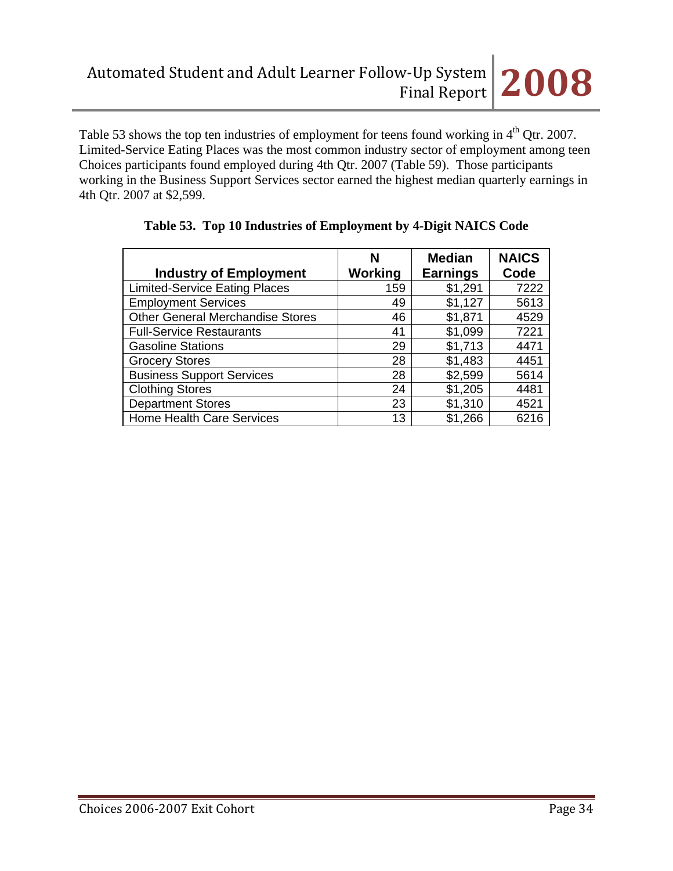Table 53 shows the top ten industries of employment for teens found working in 4<sup>th</sup> Qtr. 2007. Limited-Service Eating Places was the most common industry sector of employment among teen Choices participants found employed during 4th Qtr. 2007 (Table 59). Those participants working in the Business Support Services sector earned the highest median quarterly earnings in 4th Qtr. 2007 at \$2,599.

|                                         | N       | <b>Median</b>   |      |
|-----------------------------------------|---------|-----------------|------|
| <b>Industry of Employment</b>           | Working | <b>Earnings</b> | Code |
| <b>Limited-Service Eating Places</b>    | 159     | \$1,291         | 7222 |
| <b>Employment Services</b>              | 49      | \$1,127         | 5613 |
| <b>Other General Merchandise Stores</b> | 46      | \$1,871         | 4529 |
| <b>Full-Service Restaurants</b>         | 41      | \$1,099         | 7221 |
| <b>Gasoline Stations</b>                | 29      | \$1,713         | 4471 |
| <b>Grocery Stores</b>                   | 28      | \$1,483         | 4451 |
| <b>Business Support Services</b>        | 28      | \$2,599         | 5614 |
| <b>Clothing Stores</b>                  | 24      | \$1,205         | 4481 |
| <b>Department Stores</b>                | 23      | \$1,310         | 4521 |
| <b>Home Health Care Services</b>        | 13      | \$1,266         | 6216 |

## **Table 53. Top 10 Industries of Employment by 4-Digit NAICS Code**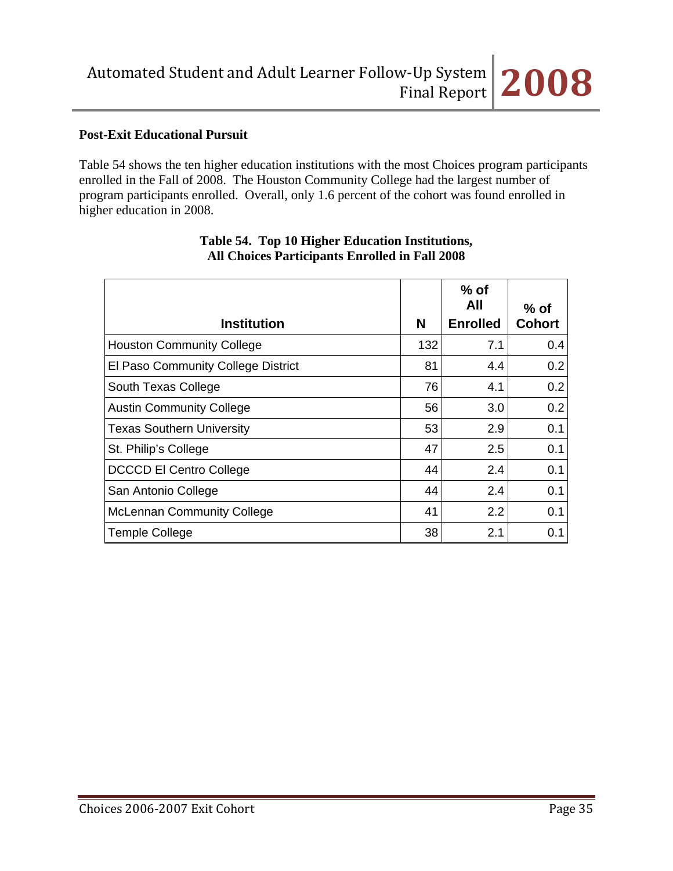

## **Post-Exit Educational Pursuit**

Table 54 shows the ten higher education institutions with the most Choices program participants enrolled in the Fall of 2008. The Houston Community College had the largest number of program participants enrolled. Overall, only 1.6 percent of the cohort was found enrolled in higher education in 2008.

| <b>Institution</b>                 | N   | $%$ of<br>All<br><b>Enrolled</b> | $%$ of<br><b>Cohort</b> |
|------------------------------------|-----|----------------------------------|-------------------------|
| <b>Houston Community College</b>   | 132 | 7.1                              | 0.4                     |
| El Paso Community College District | 81  | 4.4                              | 0.2                     |
| South Texas College                | 76  | 4.1                              | 0.2                     |
| <b>Austin Community College</b>    | 56  | 3.0                              | 0.2                     |
| <b>Texas Southern University</b>   | 53  | 2.9                              | 0.1                     |
| St. Philip's College               | 47  | 2.5                              | 0.1                     |
| <b>DCCCD El Centro College</b>     | 44  | 2.4                              | 0.1                     |
| San Antonio College                | 44  | 2.4                              | 0.1                     |
| <b>McLennan Community College</b>  | 41  | 2.2                              | 0.1                     |
| <b>Temple College</b>              | 38  | 2.1                              | 0.1                     |

### **Table 54. Top 10 Higher Education Institutions, All Choices Participants Enrolled in Fall 2008**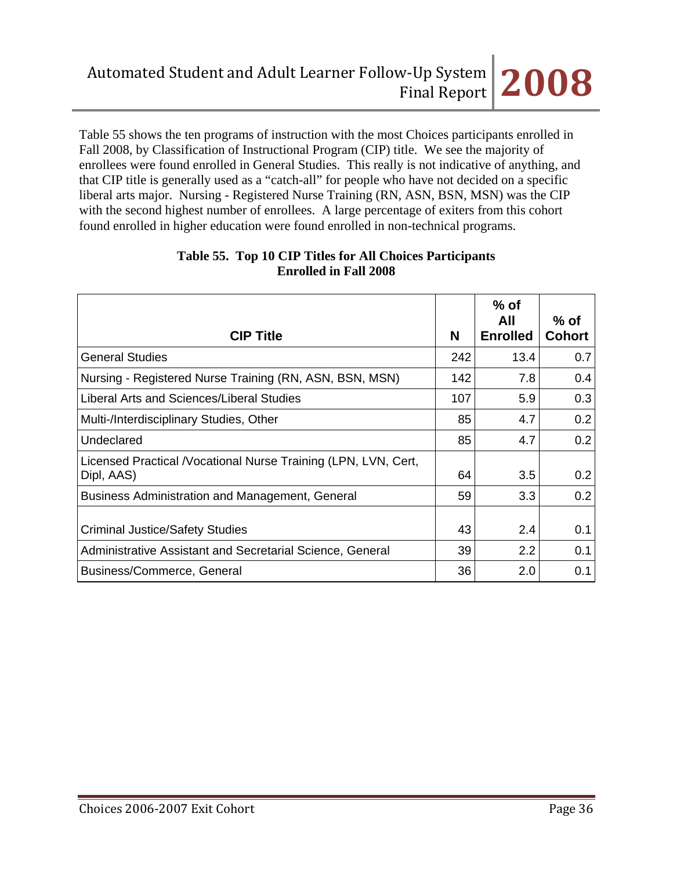Table 55 shows the ten programs of instruction with the most Choices participants enrolled in Fall 2008, by Classification of Instructional Program (CIP) title. We see the majority of enrollees were found enrolled in General Studies. This really is not indicative of anything, and that CIP title is generally used as a "catch-all" for people who have not decided on a specific liberal arts major. Nursing - Registered Nurse Training (RN, ASN, BSN, MSN) was the CIP with the second highest number of enrollees. A large percentage of exiters from this cohort found enrolled in higher education were found enrolled in non-technical programs.

| <b>CIP Title</b>                                                              | N   | $%$ of<br>All<br><b>Enrolled</b> | $%$ of<br><b>Cohort</b> |
|-------------------------------------------------------------------------------|-----|----------------------------------|-------------------------|
| <b>General Studies</b>                                                        | 242 | 13.4                             | 0.7                     |
| Nursing - Registered Nurse Training (RN, ASN, BSN, MSN)                       | 142 | 7.8                              | 0.4                     |
| Liberal Arts and Sciences/Liberal Studies                                     | 107 | 5.9                              | 0.3                     |
| Multi-/Interdisciplinary Studies, Other                                       | 85  | 4.7                              | 0.2                     |
| Undeclared                                                                    | 85  | 4.7                              | 0.2                     |
| Licensed Practical / Vocational Nurse Training (LPN, LVN, Cert,<br>Dipl, AAS) | 64  | 3.5                              | 0.2                     |
| <b>Business Administration and Management, General</b>                        | 59  | 3.3                              | 0.2                     |
| <b>Criminal Justice/Safety Studies</b>                                        | 43  | 2.4                              | 0.1                     |
| Administrative Assistant and Secretarial Science, General                     | 39  | $2.2\phantom{0}$                 | 0.1                     |
| Business/Commerce, General                                                    | 36  | 2.0                              | 0.1                     |

#### **Table 55. Top 10 CIP Titles for All Choices Participants Enrolled in Fall 2008**